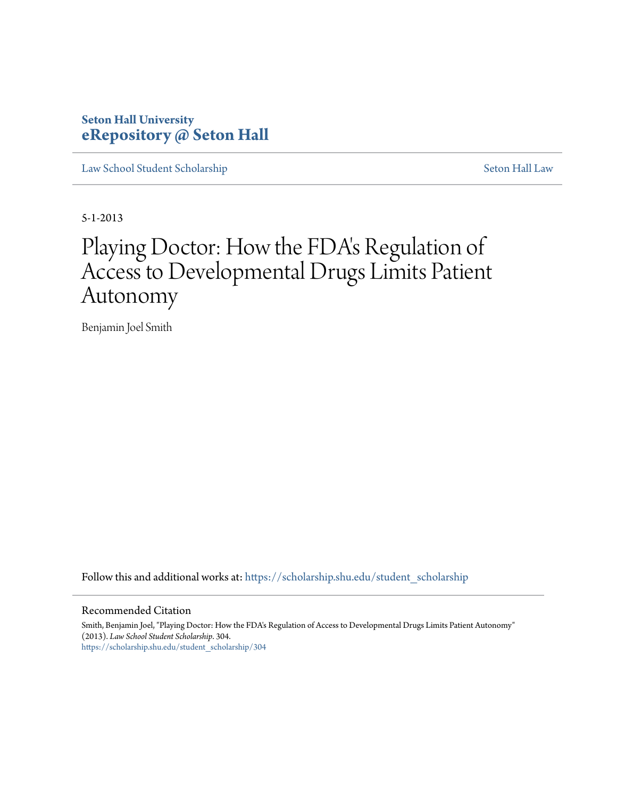### **Seton Hall University [eRepository @ Seton Hall](https://scholarship.shu.edu?utm_source=scholarship.shu.edu%2Fstudent_scholarship%2F304&utm_medium=PDF&utm_campaign=PDFCoverPages)**

[Law School Student Scholarship](https://scholarship.shu.edu/student_scholarship?utm_source=scholarship.shu.edu%2Fstudent_scholarship%2F304&utm_medium=PDF&utm_campaign=PDFCoverPages) [Seton Hall Law](https://scholarship.shu.edu/law?utm_source=scholarship.shu.edu%2Fstudent_scholarship%2F304&utm_medium=PDF&utm_campaign=PDFCoverPages)

5-1-2013

# Playing Doctor: How the FDA's Regulation of Access to Developmental Drugs Limits Patient Autonomy

Benjamin Joel Smith

Follow this and additional works at: [https://scholarship.shu.edu/student\\_scholarship](https://scholarship.shu.edu/student_scholarship?utm_source=scholarship.shu.edu%2Fstudent_scholarship%2F304&utm_medium=PDF&utm_campaign=PDFCoverPages)

#### Recommended Citation

Smith, Benjamin Joel, "Playing Doctor: How the FDA's Regulation of Access to Developmental Drugs Limits Patient Autonomy" (2013). *Law School Student Scholarship*. 304. [https://scholarship.shu.edu/student\\_scholarship/304](https://scholarship.shu.edu/student_scholarship/304?utm_source=scholarship.shu.edu%2Fstudent_scholarship%2F304&utm_medium=PDF&utm_campaign=PDFCoverPages)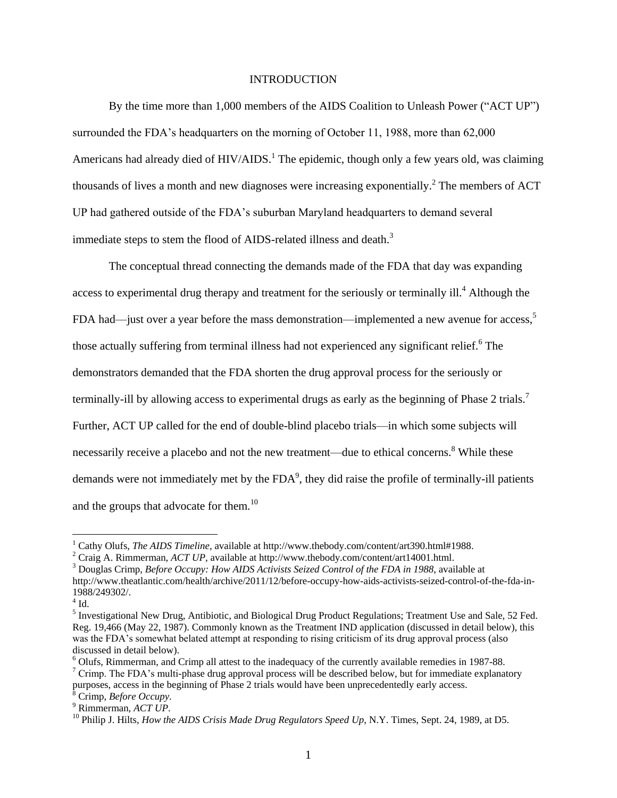#### INTRODUCTION

By the time more than 1,000 members of the AIDS Coalition to Unleash Power ("ACT UP") surrounded the FDA's headquarters on the morning of October 11, 1988, more than 62,000 Americans had already died of  $HIV/ALDS$ <sup>1</sup>. The epidemic, though only a few years old, was claiming thousands of lives a month and new diagnoses were increasing exponentially.<sup>2</sup> The members of ACT UP had gathered outside of the FDA's suburban Maryland headquarters to demand several immediate steps to stem the flood of AIDS-related illness and death.<sup>3</sup>

The conceptual thread connecting the demands made of the FDA that day was expanding access to experimental drug therapy and treatment for the seriously or terminally ill.<sup>4</sup> Although the FDA had—just over a year before the mass demonstration—implemented a new avenue for access,<sup>5</sup> those actually suffering from terminal illness had not experienced any significant relief.<sup>6</sup> The demonstrators demanded that the FDA shorten the drug approval process for the seriously or terminally-ill by allowing access to experimental drugs as early as the beginning of Phase 2 trials.<sup>7</sup> Further, ACT UP called for the end of double-blind placebo trials—in which some subjects will necessarily receive a placebo and not the new treatment—due to ethical concerns.<sup>8</sup> While these demands were not immediately met by the FDA<sup>9</sup>, they did raise the profile of terminally-ill patients and the groups that advocate for them.<sup>10</sup>

<sup>1</sup> Cathy Olufs, *The AIDS Timeline*, available at http://www.thebody.com/content/art390.html#1988.

<sup>2</sup> Craig A. Rimmerman, *ACT UP*, available at http://www.thebody.com/content/art14001.html.

<sup>3</sup> Douglas Crimp, *Before Occupy: How AIDS Activists Seized Control of the FDA in 1988*, available at http://www.theatlantic.com/health/archive/2011/12/before-occupy-how-aids-activists-seized-control-of-the-fda-in-1988/249302/.

 $4$  Id.

<sup>&</sup>lt;sup>5</sup> Investigational New Drug, Antibiotic, and Biological Drug Product Regulations; Treatment Use and Sale, 52 Fed. Reg. 19,466 (May 22, 1987). Commonly known as the Treatment IND application (discussed in detail below), this was the FDA's somewhat belated attempt at responding to rising criticism of its drug approval process (also discussed in detail below).

<sup>6</sup> Olufs, Rimmerman, and Crimp all attest to the inadequacy of the currently available remedies in 1987-88.  $\sigma$  Crimp. The FDA's multi-phase drug approval process will be described below, but for immediate explanatory purposes, access in the beginning of Phase 2 trials would have been unprecedentedly early access. <sup>8</sup> Crimp, *Before Occupy*.

<sup>9</sup> Rimmerman, *ACT UP*.

<sup>&</sup>lt;sup>10</sup> Philip J. Hilts, *How the AIDS Crisis Made Drug Regulators Speed Up*, N.Y. Times, Sept. 24, 1989, at D5.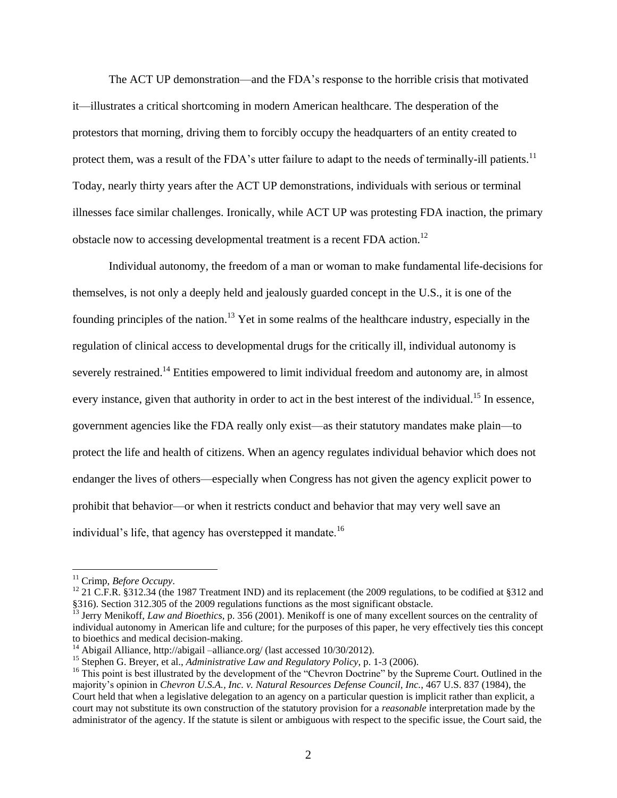The ACT UP demonstration—and the FDA's response to the horrible crisis that motivated it—illustrates a critical shortcoming in modern American healthcare. The desperation of the protestors that morning, driving them to forcibly occupy the headquarters of an entity created to protect them, was a result of the FDA's utter failure to adapt to the needs of terminally-ill patients.<sup>11</sup> Today, nearly thirty years after the ACT UP demonstrations, individuals with serious or terminal illnesses face similar challenges. Ironically, while ACT UP was protesting FDA inaction, the primary obstacle now to accessing developmental treatment is a recent FDA action.<sup>12</sup>

Individual autonomy, the freedom of a man or woman to make fundamental life-decisions for themselves, is not only a deeply held and jealously guarded concept in the U.S., it is one of the founding principles of the nation.<sup>13</sup> Yet in some realms of the healthcare industry, especially in the regulation of clinical access to developmental drugs for the critically ill, individual autonomy is severely restrained.<sup>14</sup> Entities empowered to limit individual freedom and autonomy are, in almost every instance, given that authority in order to act in the best interest of the individual.<sup>15</sup> In essence, government agencies like the FDA really only exist—as their statutory mandates make plain—to protect the life and health of citizens. When an agency regulates individual behavior which does not endanger the lives of others—especially when Congress has not given the agency explicit power to prohibit that behavior—or when it restricts conduct and behavior that may very well save an individual's life, that agency has overstepped it mandate.<sup>16</sup>

<sup>11</sup> Crimp, *Before Occupy*.

<sup>&</sup>lt;sup>12</sup> 21 C.F.R. §312.34 (the 1987 Treatment IND) and its replacement (the 2009 regulations, to be codified at §312 and §316). Section 312.305 of the 2009 regulations functions as the most significant obstacle.

<sup>&</sup>lt;sup>13</sup> Jerry Menikoff, *Law and Bioethics*, p. 356 (2001). Menikoff is one of many excellent sources on the centrality of individual autonomy in American life and culture; for the purposes of this paper, he very effectively ties this concept to bioethics and medical decision-making.

<sup>&</sup>lt;sup>14</sup> Abigail Alliance, http://abigail –alliance.org/ (last accessed 10/30/2012).

<sup>15</sup> Stephen G. Breyer, et al., *Administrative Law and Regulatory Policy*, p. 1-3 (2006).

<sup>&</sup>lt;sup>16</sup> This point is best illustrated by the development of the "Chevron Doctrine" by the Supreme Court. Outlined in the majority's opinion in *Chevron U.S.A., Inc. v. Natural Resources Defense Council, Inc.*, 467 U.S. 837 (1984), the Court held that when a legislative delegation to an agency on a particular question is implicit rather than explicit, a court may not substitute its own construction of the statutory provision for a *reasonable* interpretation made by the administrator of the agency. If the statute is silent or ambiguous with respect to the specific issue, the Court said, the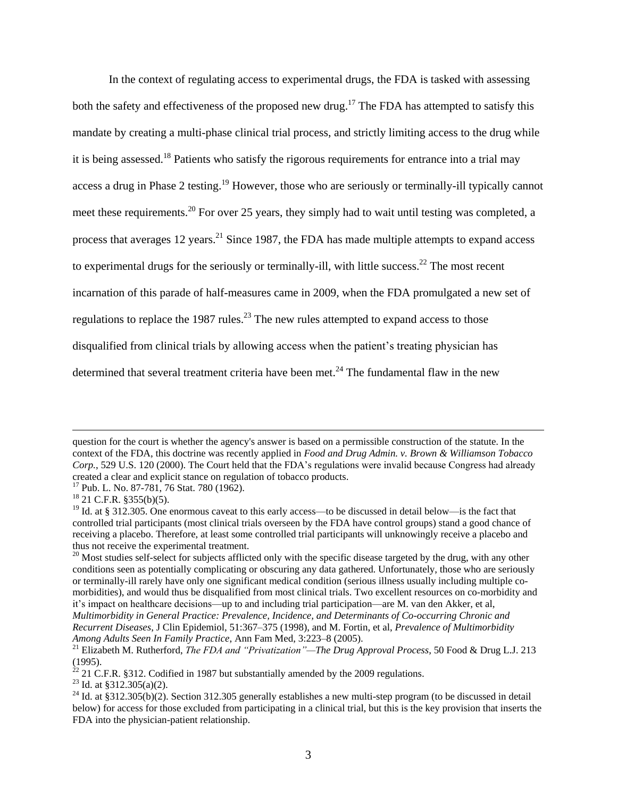In the context of regulating access to experimental drugs, the FDA is tasked with assessing both the safety and effectiveness of the proposed new drug.<sup>17</sup> The FDA has attempted to satisfy this mandate by creating a multi-phase clinical trial process, and strictly limiting access to the drug while it is being assessed.<sup>18</sup> Patients who satisfy the rigorous requirements for entrance into a trial may access a drug in Phase 2 testing.<sup>19</sup> However, those who are seriously or terminally-ill typically cannot meet these requirements.<sup>20</sup> For over 25 years, they simply had to wait until testing was completed, a process that averages 12 years.<sup>21</sup> Since 1987, the FDA has made multiple attempts to expand access to experimental drugs for the seriously or terminally-ill, with little success.<sup>22</sup> The most recent incarnation of this parade of half-measures came in 2009, when the FDA promulgated a new set of regulations to replace the 1987 rules.<sup>23</sup> The new rules attempted to expand access to those disqualified from clinical trials by allowing access when the patient's treating physician has determined that several treatment criteria have been met.<sup>24</sup> The fundamental flaw in the new

 $\overline{a}$ 

<sup>23</sup> Id. at §312.305(a)(2).

question for the court is whether the agency's answer is based on a permissible construction of the statute. In the context of the FDA, this doctrine was recently applied in *Food and Drug Admin. v. Brown & Williamson Tobacco Corp.*, 529 U.S. 120 (2000). The Court held that the FDA's regulations were invalid because Congress had already created a clear and explicit stance on regulation of tobacco products.

<sup>&</sup>lt;sup>17</sup> Pub. L. No. 87-781, 76 Stat. 780 (1962).

 $18$  21 C.F.R. §355(b)(5).

<sup>&</sup>lt;sup>19</sup> Id. at § 312.305. One enormous caveat to this early access—to be discussed in detail below—is the fact that controlled trial participants (most clinical trials overseen by the FDA have control groups) stand a good chance of receiving a placebo. Therefore, at least some controlled trial participants will unknowingly receive a placebo and thus not receive the experimental treatment.

 $20$  Most studies self-select for subjects afflicted only with the specific disease targeted by the drug, with any other conditions seen as potentially complicating or obscuring any data gathered. Unfortunately, those who are seriously or terminally-ill rarely have only one significant medical condition (serious illness usually including multiple comorbidities), and would thus be disqualified from most clinical trials. Two excellent resources on co-morbidity and it's impact on healthcare decisions—up to and including trial participation—are M. van den Akker, et al, *Multimorbidity in General Practice: Prevalence, Incidence, and Determinants of Co-occurring Chronic and* 

*Recurrent Diseases*, J Clin Epidemiol, 51:367–375 (1998), and M. Fortin, et al, *Prevalence of Multimorbidity Among Adults Seen In Family Practice*, Ann Fam Med, 3:223–8 (2005).

<sup>21</sup> Elizabeth M. Rutherford, *The FDA and "Privatization"—The Drug Approval Process*, 50 Food & Drug L.J. 213 (1995).

 $^{22}$  21 C.F.R. §312. Codified in 1987 but substantially amended by the 2009 regulations.

<sup>&</sup>lt;sup>24</sup> Id. at §312.305(b)(2). Section 312.305 generally establishes a new multi-step program (to be discussed in detail below) for access for those excluded from participating in a clinical trial, but this is the key provision that inserts the FDA into the physician-patient relationship.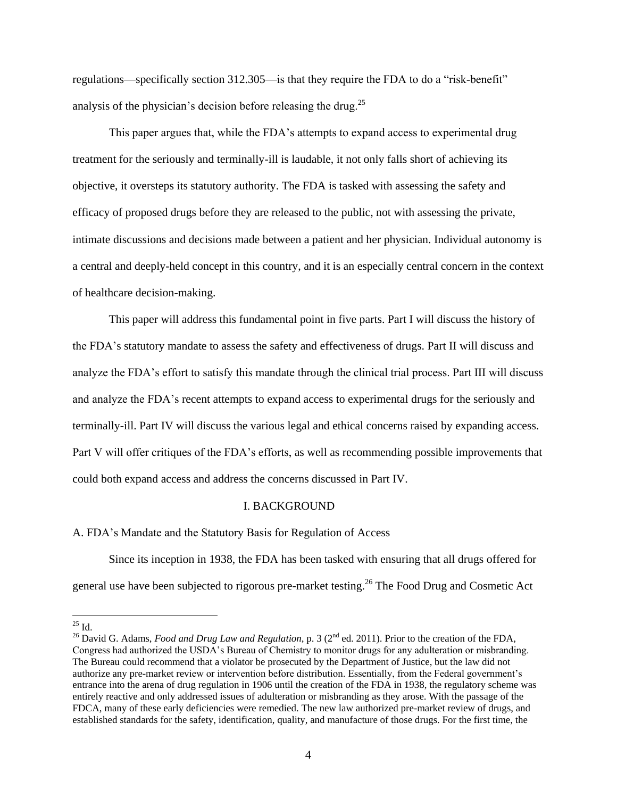regulations—specifically section 312.305—is that they require the FDA to do a "risk-benefit" analysis of the physician's decision before releasing the drug.<sup>25</sup>

This paper argues that, while the FDA's attempts to expand access to experimental drug treatment for the seriously and terminally-ill is laudable, it not only falls short of achieving its objective, it oversteps its statutory authority. The FDA is tasked with assessing the safety and efficacy of proposed drugs before they are released to the public, not with assessing the private, intimate discussions and decisions made between a patient and her physician. Individual autonomy is a central and deeply-held concept in this country, and it is an especially central concern in the context of healthcare decision-making.

This paper will address this fundamental point in five parts. Part I will discuss the history of the FDA's statutory mandate to assess the safety and effectiveness of drugs. Part II will discuss and analyze the FDA's effort to satisfy this mandate through the clinical trial process. Part III will discuss and analyze the FDA's recent attempts to expand access to experimental drugs for the seriously and terminally-ill. Part IV will discuss the various legal and ethical concerns raised by expanding access. Part V will offer critiques of the FDA's efforts, as well as recommending possible improvements that could both expand access and address the concerns discussed in Part IV.

#### I. BACKGROUND

A. FDA's Mandate and the Statutory Basis for Regulation of Access

Since its inception in 1938, the FDA has been tasked with ensuring that all drugs offered for general use have been subjected to rigorous pre-market testing.<sup>26</sup> The Food Drug and Cosmetic Act

 $^{25}$  Id.

<sup>&</sup>lt;sup>26</sup> David G. Adams, *Food and Drug Law and Regulation*, p. 3 (2<sup>nd</sup> ed. 2011). Prior to the creation of the FDA, Congress had authorized the USDA's Bureau of Chemistry to monitor drugs for any adulteration or misbranding. The Bureau could recommend that a violator be prosecuted by the Department of Justice, but the law did not authorize any pre-market review or intervention before distribution. Essentially, from the Federal government's entrance into the arena of drug regulation in 1906 until the creation of the FDA in 1938, the regulatory scheme was entirely reactive and only addressed issues of adulteration or misbranding as they arose. With the passage of the FDCA, many of these early deficiencies were remedied. The new law authorized pre-market review of drugs, and established standards for the safety, identification, quality, and manufacture of those drugs. For the first time, the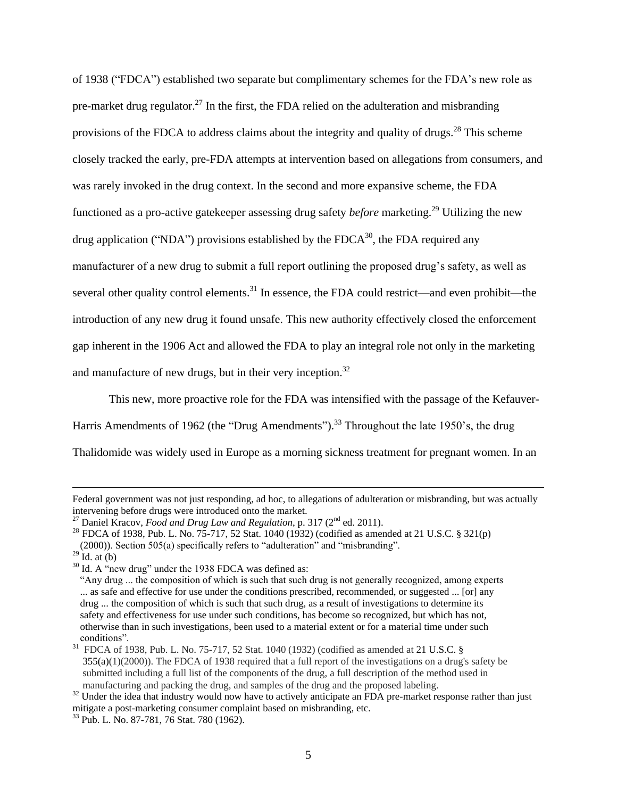of 1938 ("FDCA") established two separate but complimentary schemes for the FDA's new role as pre-market drug regulator.<sup>27</sup> In the first, the FDA relied on the adulteration and misbranding provisions of the FDCA to address claims about the integrity and quality of drugs.<sup>28</sup> This scheme closely tracked the early, pre-FDA attempts at intervention based on allegations from consumers, and was rarely invoked in the drug context. In the second and more expansive scheme, the FDA functioned as a pro-active gatekeeper assessing drug safety *before* marketing. <sup>29</sup> Utilizing the new drug application ("NDA") provisions established by the FDCA $^{30}$ , the FDA required any manufacturer of a new drug to submit a full report outlining the proposed drug's safety, as well as several other quality control elements.<sup>31</sup> In essence, the FDA could restrict—and even prohibit—the introduction of any new drug it found unsafe. This new authority effectively closed the enforcement gap inherent in the 1906 Act and allowed the FDA to play an integral role not only in the marketing and manufacture of new drugs, but in their very inception.<sup>32</sup>

This new, more proactive role for the FDA was intensified with the passage of the Kefauver-Harris Amendments of 1962 (the "Drug Amendments").<sup>33</sup> Throughout the late 1950's, the drug Thalidomide was widely used in Europe as a morning sickness treatment for pregnant women. In an

Federal government was not just responding, ad hoc, to allegations of adulteration or misbranding, but was actually intervening before drugs were introduced onto the market.

<sup>&</sup>lt;sup>27</sup> Daniel Kracov, *Food and Drug Law and Regulation*, p. 317 (2<sup>nd</sup> ed. 2011).

<sup>&</sup>lt;sup>28</sup> FDCA of 1938, Pub. L. No. 75-717, 52 Stat. 1040 (1932) (codified as amended at 21 U.S.C. § 321(p) (2000)). Section 505(a) specifically refers to "adulteration" and "misbranding".

 $^{29}$  Id. at (b)

<sup>&</sup>lt;sup>30</sup> Id. A "new drug" under the 1938 FDCA was defined as:

 <sup>&</sup>quot;Any drug ... the composition of which is such that such drug is not generally recognized, among experts ... as safe and effective for use under the conditions prescribed, recommended, or suggested ... [or] any drug ... the composition of which is such that such drug, as a result of investigations to determine its safety and effectiveness for use under such conditions, has become so recognized, but which has not, otherwise than in such investigations, been used to a material extent or for a material time under such conditions".

<sup>&</sup>lt;sup>31</sup> FDCA of 1938, Pub. L. No. 75-717, 52 Stat. 1040 (1932) (codified as amended at 21 U.S.C. § 355(a)(1)(2000)). The FDCA of 1938 required that a full report of the investigations on a drug's safety be submitted including a full list of the components of the drug, a full description of the method used in manufacturing and packing the drug, and samples of the drug and the proposed labeling.

 $32$  Under the idea that industry would now have to actively anticipate an FDA pre-market response rather than just mitigate a post-marketing consumer complaint based on misbranding, etc.

<sup>33</sup> Pub. L. No. 87-781, 76 Stat. 780 (1962).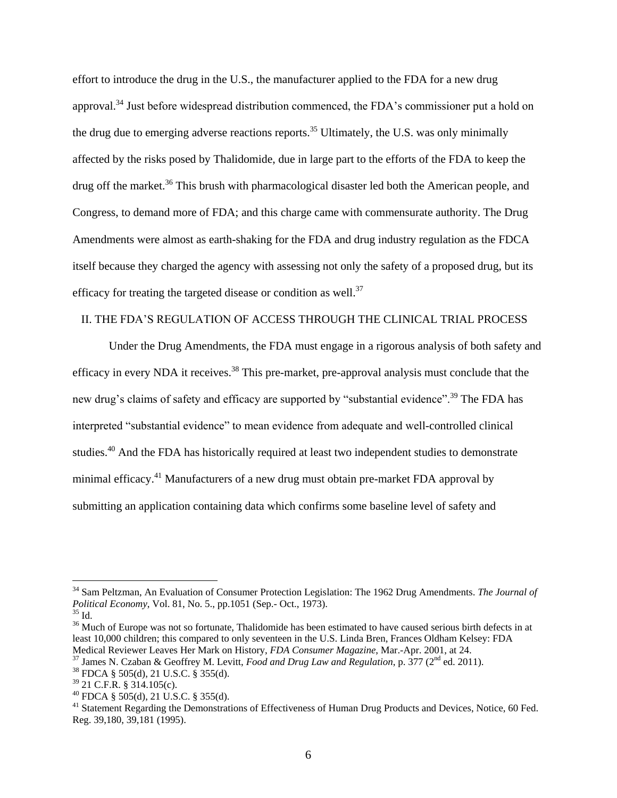effort to introduce the drug in the U.S., the manufacturer applied to the FDA for a new drug approval.<sup>34</sup> Just before widespread distribution commenced, the FDA's commissioner put a hold on the drug due to emerging adverse reactions reports.<sup>35</sup> Ultimately, the U.S. was only minimally affected by the risks posed by Thalidomide, due in large part to the efforts of the FDA to keep the drug off the market.<sup>36</sup> This brush with pharmacological disaster led both the American people, and Congress, to demand more of FDA; and this charge came with commensurate authority. The Drug Amendments were almost as earth-shaking for the FDA and drug industry regulation as the FDCA itself because they charged the agency with assessing not only the safety of a proposed drug, but its efficacy for treating the targeted disease or condition as well.<sup>37</sup>

#### II. THE FDA'S REGULATION OF ACCESS THROUGH THE CLINICAL TRIAL PROCESS

Under the Drug Amendments, the FDA must engage in a rigorous analysis of both safety and efficacy in every NDA it receives.<sup>38</sup> This pre-market, pre-approval analysis must conclude that the new drug's claims of safety and efficacy are supported by "substantial evidence".<sup>39</sup> The FDA has interpreted "substantial evidence" to mean evidence from adequate and well-controlled clinical studies.<sup>40</sup> And the FDA has historically required at least two independent studies to demonstrate minimal efficacy.<sup>41</sup> Manufacturers of a new drug must obtain pre-market FDA approval by submitting an application containing data which confirms some baseline level of safety and

<sup>34</sup> Sam Peltzman, An Evaluation of Consumer Protection Legislation: The 1962 Drug Amendments. *The Journal of Political Economy*, Vol. 81, No. 5., pp.1051 (Sep.- Oct., 1973).

 $35$  Id.

<sup>&</sup>lt;sup>36</sup> Much of Europe was not so fortunate, Thalidomide has been estimated to have caused serious birth defects in at least 10,000 children; this compared to only seventeen in the U.S. Linda Bren, Frances Oldham Kelsey: FDA Medical Reviewer Leaves Her Mark on History, *FDA Consumer Magazine*, Mar.-Apr. 2001, at 24.

<sup>37</sup> James N. Czaban & Geoffrey M. Levitt, *Food and Drug Law and Regulation*, p. 377 (2nd ed. 2011).

<sup>38</sup> FDCA § 505(d), 21 U.S.C. § 355(d).

 $39$  21 C.F.R. § 314.105(c).

 $^{40}$  FDCA § 505(d), 21 U.S.C. § 355(d).

<sup>&</sup>lt;sup>41</sup> Statement Regarding the Demonstrations of Effectiveness of Human Drug Products and Devices, Notice, 60 Fed. Reg. 39,180, 39,181 (1995).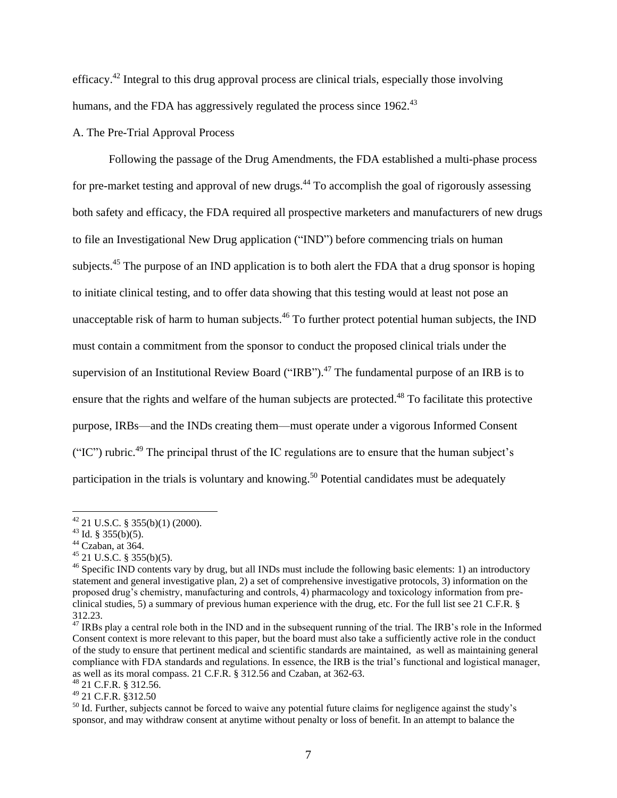efficacy.<sup>42</sup> Integral to this drug approval process are clinical trials, especially those involving humans, and the FDA has aggressively regulated the process since  $1962<sup>43</sup>$ 

#### A. The Pre-Trial Approval Process

Following the passage of the Drug Amendments, the FDA established a multi-phase process for pre-market testing and approval of new drugs.<sup>44</sup> To accomplish the goal of rigorously assessing both safety and efficacy, the FDA required all prospective marketers and manufacturers of new drugs to file an Investigational New Drug application ("IND") before commencing trials on human subjects.<sup>45</sup> The purpose of an IND application is to both alert the FDA that a drug sponsor is hoping to initiate clinical testing, and to offer data showing that this testing would at least not pose an unacceptable risk of harm to human subjects.<sup>46</sup> To further protect potential human subjects, the IND must contain a commitment from the sponsor to conduct the proposed clinical trials under the supervision of an Institutional Review Board ("IRB").<sup>47</sup> The fundamental purpose of an IRB is to ensure that the rights and welfare of the human subjects are protected.<sup>48</sup> To facilitate this protective purpose, IRBs—and the INDs creating them—must operate under a vigorous Informed Consent ("IC") rubric.<sup>49</sup> The principal thrust of the IC regulations are to ensure that the human subject's participation in the trials is voluntary and knowing.<sup>50</sup> Potential candidates must be adequately

 $42$  21 U.S.C. § 355(b)(1) (2000).

 $43$  Id. § 355(b)(5).

<sup>44</sup> Czaban, at 364.

 $45$  21 U.S.C. § 355(b)(5).

<sup>&</sup>lt;sup>46</sup> Specific IND contents vary by drug, but all INDs must include the following basic elements: 1) an introductory statement and general investigative plan, 2) a set of comprehensive investigative protocols, 3) information on the proposed drug's chemistry, manufacturing and controls, 4) pharmacology and toxicology information from preclinical studies, 5) a summary of previous human experience with the drug, etc. For the full list see 21 C.F.R. § 312.23.

 $47$  IRBs play a central role both in the IND and in the subsequent running of the trial. The IRB's role in the Informed Consent context is more relevant to this paper, but the board must also take a sufficiently active role in the conduct of the study to ensure that pertinent medical and scientific standards are maintained, as well as maintaining general compliance with FDA standards and regulations. In essence, the IRB is the trial's functional and logistical manager, as well as its moral compass. 21 C.F.R. § 312.56 and Czaban, at 362-63.

<sup>48</sup> 21 C.F.R. § 312.56.

<sup>49</sup> 21 C.F.R. §312.50

<sup>&</sup>lt;sup>50</sup> Id. Further, subjects cannot be forced to waive any potential future claims for negligence against the study's sponsor, and may withdraw consent at anytime without penalty or loss of benefit. In an attempt to balance the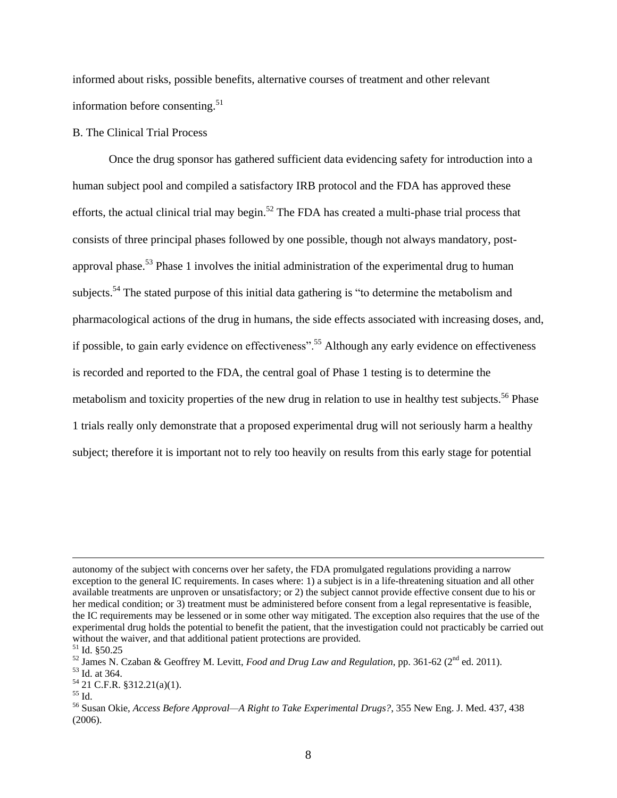informed about risks, possible benefits, alternative courses of treatment and other relevant information before consenting.<sup>51</sup>

#### B. The Clinical Trial Process

Once the drug sponsor has gathered sufficient data evidencing safety for introduction into a human subject pool and compiled a satisfactory IRB protocol and the FDA has approved these efforts, the actual clinical trial may begin.<sup>52</sup> The FDA has created a multi-phase trial process that consists of three principal phases followed by one possible, though not always mandatory, postapproval phase.<sup>53</sup> Phase 1 involves the initial administration of the experimental drug to human subjects.<sup>54</sup> The stated purpose of this initial data gathering is "to determine the metabolism and pharmacological actions of the drug in humans, the side effects associated with increasing doses, and, if possible, to gain early evidence on effectiveness".<sup>55</sup> Although any early evidence on effectiveness is recorded and reported to the FDA, the central goal of Phase 1 testing is to determine the metabolism and toxicity properties of the new drug in relation to use in healthy test subjects.<sup>56</sup> Phase 1 trials really only demonstrate that a proposed experimental drug will not seriously harm a healthy subject; therefore it is important not to rely too heavily on results from this early stage for potential

autonomy of the subject with concerns over her safety, the FDA promulgated regulations providing a narrow exception to the general IC requirements. In cases where: 1) a subject is in a life-threatening situation and all other available treatments are unproven or unsatisfactory; or 2) the subject cannot provide effective consent due to his or her medical condition; or 3) treatment must be administered before consent from a legal representative is feasible, the IC requirements may be lessened or in some other way mitigated. The exception also requires that the use of the experimental drug holds the potential to benefit the patient, that the investigation could not practicably be carried out without the waiver, and that additional patient protections are provided.

 $51$  Id. §50.25

<sup>52</sup> James N. Czaban & Geoffrey M. Levitt, *Food and Drug Law and Regulation*, pp. 361-62 (2nd ed. 2011).

<sup>53</sup> Id. at 364.

<sup>54</sup> 21 C.F.R. §312.21(a)(1).

<sup>55</sup> Id.

<sup>56</sup> Susan Okie, *Access Before Approval—A Right to Take Experimental Drugs?*, 355 New Eng. J. Med. 437, 438 (2006).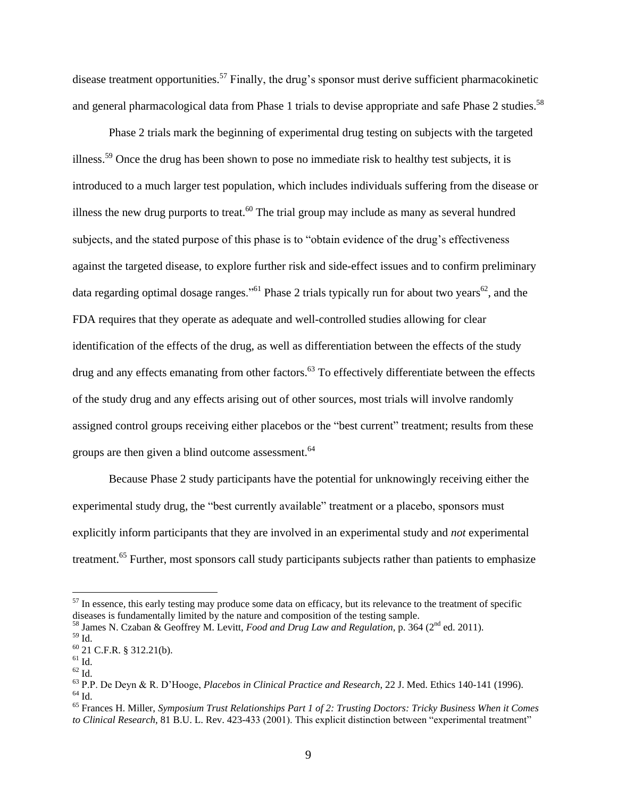disease treatment opportunities.<sup>57</sup> Finally, the drug's sponsor must derive sufficient pharmacokinetic and general pharmacological data from Phase 1 trials to devise appropriate and safe Phase 2 studies.<sup>58</sup>

Phase 2 trials mark the beginning of experimental drug testing on subjects with the targeted illness.<sup>59</sup> Once the drug has been shown to pose no immediate risk to healthy test subjects, it is introduced to a much larger test population, which includes individuals suffering from the disease or illness the new drug purports to treat.<sup>60</sup> The trial group may include as many as several hundred subjects, and the stated purpose of this phase is to "obtain evidence of the drug's effectiveness against the targeted disease, to explore further risk and side-effect issues and to confirm preliminary data regarding optimal dosage ranges."<sup>61</sup> Phase 2 trials typically run for about two years<sup>62</sup>, and the FDA requires that they operate as adequate and well-controlled studies allowing for clear identification of the effects of the drug, as well as differentiation between the effects of the study drug and any effects emanating from other factors.<sup>63</sup> To effectively differentiate between the effects of the study drug and any effects arising out of other sources, most trials will involve randomly assigned control groups receiving either placebos or the "best current" treatment; results from these groups are then given a blind outcome assessment.<sup>64</sup>

Because Phase 2 study participants have the potential for unknowingly receiving either the experimental study drug, the "best currently available" treatment or a placebo, sponsors must explicitly inform participants that they are involved in an experimental study and *not* experimental treatment.<sup>65</sup> Further, most sponsors call study participants subjects rather than patients to emphasize

 $57$  In essence, this early testing may produce some data on efficacy, but its relevance to the treatment of specific diseases is fundamentally limited by the nature and composition of the testing sample.

<sup>&</sup>lt;sup>58</sup> James N. Czaban & Geoffrey M. Levitt, *Food and Drug Law and Regulation*, p. 364 (2<sup>nd</sup> ed. 2011).

 $^{59}$  Id.

<sup>60</sup> 21 C.F.R. § 312.21(b).

 $61$  Id.

 $^{62}$  Id.

<sup>63</sup> P.P. De Deyn & R. D'Hooge, *Placebos in Clinical Practice and Research*, 22 J. Med. Ethics 140-141 (1996).  $64$  Id.

<sup>65</sup> Frances H. Miller, *Symposium Trust Relationships Part 1 of 2: Trusting Doctors: Tricky Business When it Comes to Clinical Research*, 81 B.U. L. Rev. 423-433 (2001). This explicit distinction between "experimental treatment"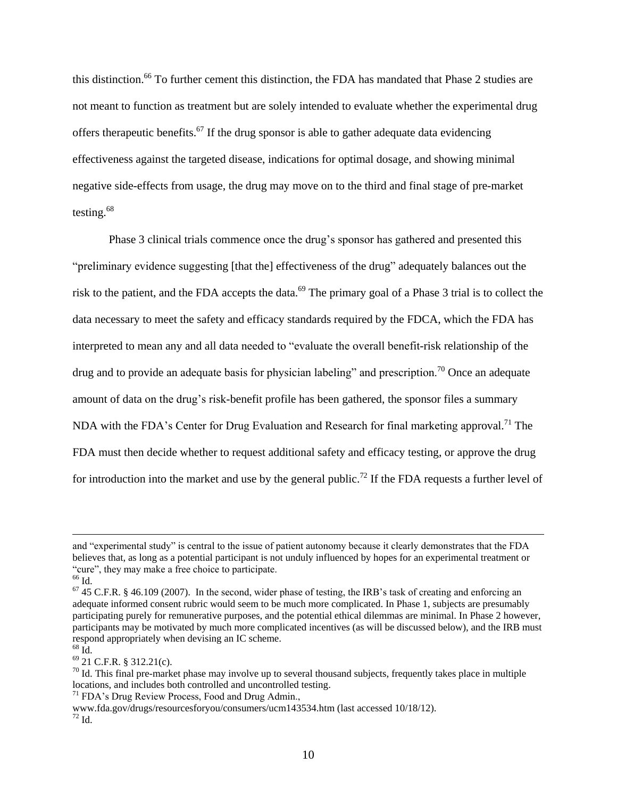this distinction. <sup>66</sup> To further cement this distinction, the FDA has mandated that Phase 2 studies are not meant to function as treatment but are solely intended to evaluate whether the experimental drug offers therapeutic benefits.<sup>67</sup> If the drug sponsor is able to gather adequate data evidencing effectiveness against the targeted disease, indications for optimal dosage, and showing minimal negative side-effects from usage, the drug may move on to the third and final stage of pre-market testing.<sup>68</sup>

Phase 3 clinical trials commence once the drug's sponsor has gathered and presented this "preliminary evidence suggesting [that the] effectiveness of the drug" adequately balances out the risk to the patient, and the FDA accepts the data.<sup>69</sup> The primary goal of a Phase 3 trial is to collect the data necessary to meet the safety and efficacy standards required by the FDCA, which the FDA has interpreted to mean any and all data needed to "evaluate the overall benefit-risk relationship of the drug and to provide an adequate basis for physician labeling" and prescription.<sup>70</sup> Once an adequate amount of data on the drug's risk-benefit profile has been gathered, the sponsor files a summary NDA with the FDA's Center for Drug Evaluation and Research for final marketing approval.<sup>71</sup> The FDA must then decide whether to request additional safety and efficacy testing, or approve the drug for introduction into the market and use by the general public.<sup>72</sup> If the FDA requests a further level of

 $\overline{a}$ 

<sup>69</sup> 21 C.F.R. § 312.21(c).

 $71$  FDA's Drug Review Process, Food and Drug Admin.,

and "experimental study" is central to the issue of patient autonomy because it clearly demonstrates that the FDA believes that, as long as a potential participant is not unduly influenced by hopes for an experimental treatment or "cure", they may make a free choice to participate.

<sup>&</sup>lt;sup>66</sup> Id.

 $67$  45 C.F.R. § 46.109 (2007). In the second, wider phase of testing, the IRB's task of creating and enforcing an adequate informed consent rubric would seem to be much more complicated. In Phase 1, subjects are presumably participating purely for remunerative purposes, and the potential ethical dilemmas are minimal. In Phase 2 however, participants may be motivated by much more complicated incentives (as will be discussed below), and the IRB must respond appropriately when devising an IC scheme.

 $68$  Id.

 $70$  Id. This final pre-market phase may involve up to several thousand subjects, frequently takes place in multiple locations, and includes both controlled and uncontrolled testing.

www.fda.gov/drugs/resourcesforyou/consumers/ucm143534.htm (last accessed 10/18/12).  $72$  Id.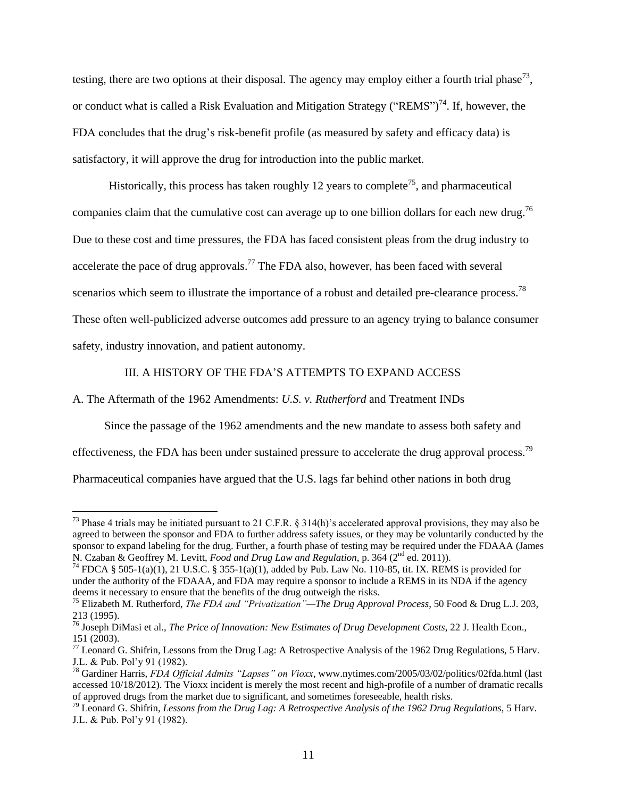testing, there are two options at their disposal. The agency may employ either a fourth trial phase<sup>73</sup>, or conduct what is called a Risk Evaluation and Mitigation Strategy ("REMS")<sup>74</sup>. If, however, the FDA concludes that the drug's risk-benefit profile (as measured by safety and efficacy data) is satisfactory, it will approve the drug for introduction into the public market.

Historically, this process has taken roughly 12 years to complete<sup>75</sup>, and pharmaceutical companies claim that the cumulative cost can average up to one billion dollars for each new drug.<sup>76</sup> Due to these cost and time pressures, the FDA has faced consistent pleas from the drug industry to accelerate the pace of drug approvals.<sup>77</sup> The FDA also, however, has been faced with several scenarios which seem to illustrate the importance of a robust and detailed pre-clearance process.<sup>78</sup> These often well-publicized adverse outcomes add pressure to an agency trying to balance consumer safety, industry innovation, and patient autonomy.

#### III. A HISTORY OF THE FDA'S ATTEMPTS TO EXPAND ACCESS

A. The Aftermath of the 1962 Amendments: *U.S. v. Rutherford* and Treatment INDs

 $\overline{a}$ 

Since the passage of the 1962 amendments and the new mandate to assess both safety and effectiveness, the FDA has been under sustained pressure to accelerate the drug approval process.<sup>79</sup> Pharmaceutical companies have argued that the U.S. lags far behind other nations in both drug

<sup>&</sup>lt;sup>73</sup> Phase 4 trials may be initiated pursuant to 21 C.F.R. § 314(h)'s accelerated approval provisions, they may also be agreed to between the sponsor and FDA to further address safety issues, or they may be voluntarily conducted by the sponsor to expand labeling for the drug. Further, a fourth phase of testing may be required under the FDAAA (James N. Czaban & Geoffrey M. Levitt, *Food and Drug Law and Regulation*, p. 364 (2<sup>nd</sup> ed. 2011)).

<sup>&</sup>lt;sup>74</sup> FDCA § 505-1(a)(1), 21 U.S.C. § 355-1(a)(1), added by Pub. Law No. 110-85, tit. IX. REMS is provided for under the authority of the FDAAA, and FDA may require a sponsor to include a REMS in its NDA if the agency deems it necessary to ensure that the benefits of the drug outweigh the risks.

<sup>75</sup> Elizabeth M. Rutherford, *The FDA and "Privatization"—The Drug Approval Process*, 50 Food & Drug L.J. 203, 213 (1995).

<sup>76</sup> Joseph DiMasi et al., *The Price of Innovation: New Estimates of Drug Development Costs*, 22 J. Health Econ., 151 (2003).

 $^{77}$  Leonard G. Shifrin, Lessons from the Drug Lag: A Retrospective Analysis of the 1962 Drug Regulations, 5 Harv. J.L. & Pub. Pol'y 91 (1982).

<sup>78</sup> Gardiner Harris, *FDA Official Admits "Lapses" on Vioxx*, www.nytimes.com/2005/03/02/politics/02fda.html (last accessed 10/18/2012). The Vioxx incident is merely the most recent and high-profile of a number of dramatic recalls of approved drugs from the market due to significant, and sometimes foreseeable, health risks.

<sup>79</sup> Leonard G. Shifrin, *Lessons from the Drug Lag: A Retrospective Analysis of the 1962 Drug Regulations*, 5 Harv. J.L. & Pub. Pol'y 91 (1982).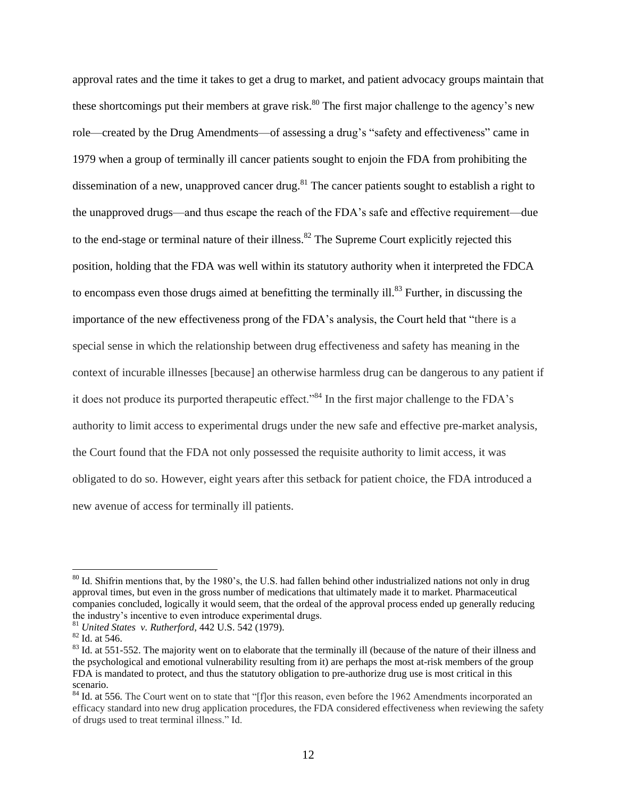approval rates and the time it takes to get a drug to market, and patient advocacy groups maintain that these shortcomings put their members at grave risk.<sup>80</sup> The first major challenge to the agency's new role—created by the Drug Amendments—of assessing a drug's "safety and effectiveness" came in 1979 when a group of terminally ill cancer patients sought to enjoin the FDA from prohibiting the dissemination of a new, unapproved cancer drug.<sup>81</sup> The cancer patients sought to establish a right to the unapproved drugs—and thus escape the reach of the FDA's safe and effective requirement—due to the end-stage or terminal nature of their illness.<sup>82</sup> The Supreme Court explicitly rejected this position, holding that the FDA was well within its statutory authority when it interpreted the FDCA to encompass even those drugs aimed at benefitting the terminally ill. $83$  Further, in discussing the importance of the new effectiveness prong of the FDA's analysis, the Court held that "there is a special sense in which the relationship between drug effectiveness and safety has meaning in the context of incurable illnesses [because] an otherwise harmless drug can be dangerous to any patient if it does not produce its purported therapeutic effect."<sup>84</sup> In the first major challenge to the FDA's authority to limit access to experimental drugs under the new safe and effective pre-market analysis, the Court found that the FDA not only possessed the requisite authority to limit access, it was obligated to do so. However, eight years after this setback for patient choice, the FDA introduced a new avenue of access for terminally ill patients.

<sup>&</sup>lt;sup>80</sup> Id. Shifrin mentions that, by the 1980's, the U.S. had fallen behind other industrialized nations not only in drug approval times, but even in the gross number of medications that ultimately made it to market. Pharmaceutical companies concluded, logically it would seem, that the ordeal of the approval process ended up generally reducing the industry's incentive to even introduce experimental drugs.

<sup>81</sup> *United States v. Rutherford*, 442 U.S. 542 (1979).

<sup>82</sup> Id. at 546.

<sup>&</sup>lt;sup>83</sup> Id. at 551-552. The majority went on to elaborate that the terminally ill (because of the nature of their illness and the psychological and emotional vulnerability resulting from it) are perhaps the most at-risk members of the group FDA is mandated to protect, and thus the statutory obligation to pre-authorize drug use is most critical in this scenario.

<sup>&</sup>lt;sup>84</sup> Id. at 556. The Court went on to state that "[f]or this reason, even before the 1962 Amendments incorporated an efficacy standard into new drug application procedures, the FDA considered effectiveness when reviewing the safety of drugs used to treat terminal illness." Id.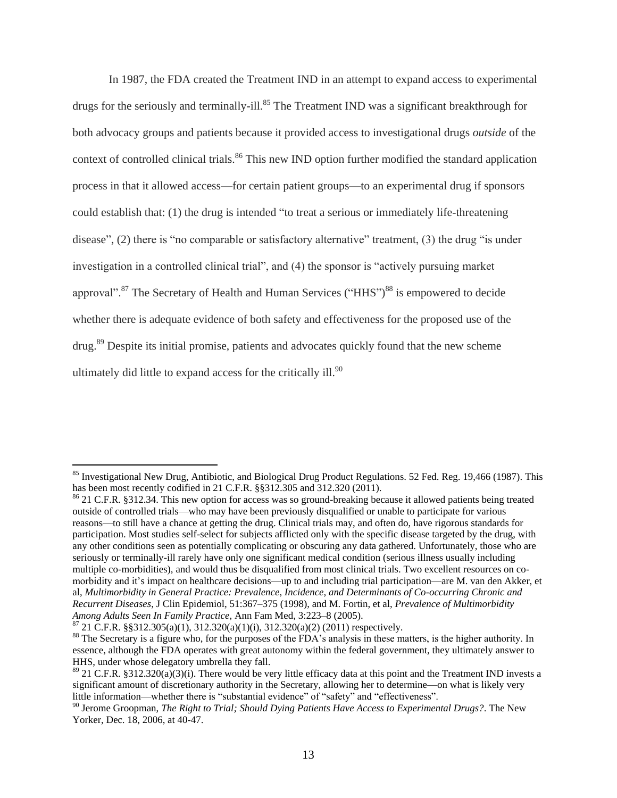In 1987, the FDA created the Treatment IND in an attempt to expand access to experimental drugs for the seriously and terminally-ill.<sup>85</sup> The Treatment IND was a significant breakthrough for both advocacy groups and patients because it provided access to investigational drugs *outside* of the context of controlled clinical trials.<sup>86</sup> This new IND option further modified the standard application process in that it allowed access—for certain patient groups—to an experimental drug if sponsors could establish that: (1) the drug is intended "to treat a serious or immediately life-threatening disease", (2) there is "no comparable or satisfactory alternative" treatment, (3) the drug "is under investigation in a controlled clinical trial", and (4) the sponsor is "actively pursuing market approval".<sup>87</sup> The Secretary of Health and Human Services ("HHS")<sup>88</sup> is empowered to decide whether there is adequate evidence of both safety and effectiveness for the proposed use of the drug.<sup>89</sup> Despite its initial promise, patients and advocates quickly found that the new scheme ultimately did little to expand access for the critically ill. $90$ 

 $85$  Investigational New Drug, Antibiotic, and Biological Drug Product Regulations. 52 Fed. Reg. 19,466 (1987). This has been most recently codified in 21 C.F.R. §§312.305 and 312.320 (2011).

<sup>&</sup>lt;sup>86</sup> 21 C.F.R. §312.34. This new option for access was so ground-breaking because it allowed patients being treated outside of controlled trials—who may have been previously disqualified or unable to participate for various reasons—to still have a chance at getting the drug. Clinical trials may, and often do, have rigorous standards for participation. Most studies self-select for subjects afflicted only with the specific disease targeted by the drug, with any other conditions seen as potentially complicating or obscuring any data gathered. Unfortunately, those who are seriously or terminally-ill rarely have only one significant medical condition (serious illness usually including multiple co-morbidities), and would thus be disqualified from most clinical trials. Two excellent resources on comorbidity and it's impact on healthcare decisions—up to and including trial participation—are M. van den Akker, et al, *Multimorbidity in General Practice: Prevalence, Incidence, and Determinants of Co-occurring Chronic and Recurrent Diseases*, J Clin Epidemiol, 51:367–375 (1998), and M. Fortin, et al, *Prevalence of Multimorbidity Among Adults Seen In Family Practice*, Ann Fam Med, 3:223–8 (2005).

 $87$  21 C.F.R. §§312.305(a)(1), 312.320(a)(1)(i), 312.320(a)(2) (2011) respectively.

<sup>&</sup>lt;sup>88</sup> The Secretary is a figure who, for the purposes of the FDA's analysis in these matters, is the higher authority. In essence, although the FDA operates with great autonomy within the federal government, they ultimately answer to HHS, under whose delegatory umbrella they fall.

 $89$  21 C.F.R. §312.320(a)(3)(i). There would be very little efficacy data at this point and the Treatment IND invests a significant amount of discretionary authority in the Secretary, allowing her to determine—on what is likely very little information—whether there is "substantial evidence" of "safety" and "effectiveness".

<sup>90</sup> Jerome Groopman, *The Right to Trial; Should Dying Patients Have Access to Experimental Drugs?*. The New Yorker, Dec. 18, 2006, at 40-47.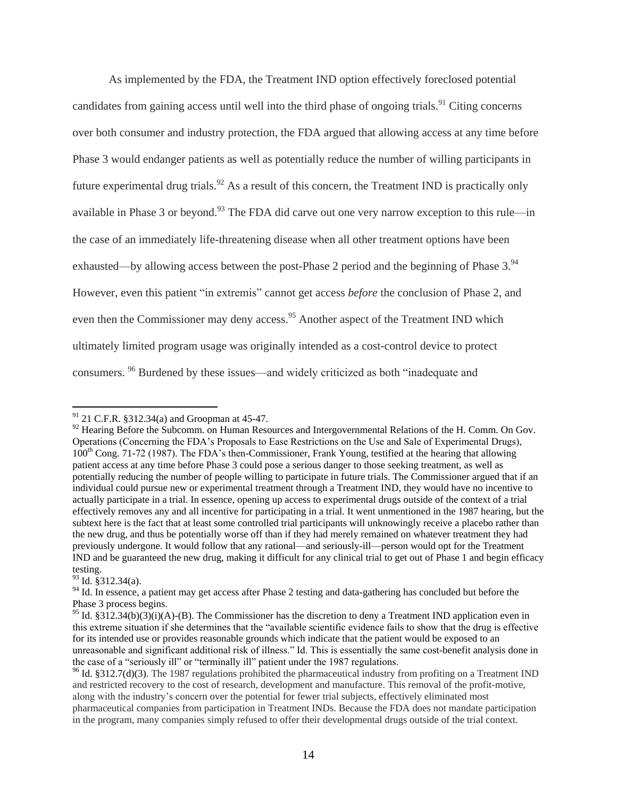As implemented by the FDA, the Treatment IND option effectively foreclosed potential candidates from gaining access until well into the third phase of ongoing trials.<sup>91</sup> Citing concerns over both consumer and industry protection, the FDA argued that allowing access at any time before Phase 3 would endanger patients as well as potentially reduce the number of willing participants in future experimental drug trials.<sup>92</sup> As a result of this concern, the Treatment IND is practically only available in Phase 3 or beyond.<sup>93</sup> The FDA did carve out one very narrow exception to this rule—in the case of an immediately life-threatening disease when all other treatment options have been exhausted—by allowing access between the post-Phase 2 period and the beginning of Phase 3.<sup>94</sup> However, even this patient "in extremis" cannot get access *before* the conclusion of Phase 2, and even then the Commissioner may deny access.<sup>95</sup> Another aspect of the Treatment IND which ultimately limited program usage was originally intended as a cost-control device to protect consumers. <sup>96</sup> Burdened by these issues—and widely criticized as both "inadequate and

 $93$  Id. §312.34(a).

 $91$  21 C.F.R. §312.34(a) and Groopman at 45-47.

<sup>&</sup>lt;sup>92</sup> Hearing Before the Subcomm. on Human Resources and Intergovernmental Relations of the H. Comm. On Gov. Operations (Concerning the FDA's Proposals to Ease Restrictions on the Use and Sale of Experimental Drugs), 100<sup>th</sup> Cong. 71-72 (1987). The FDA's then-Commissioner, Frank Young, testified at the hearing that allowing patient access at any time before Phase 3 could pose a serious danger to those seeking treatment, as well as potentially reducing the number of people willing to participate in future trials. The Commissioner argued that if an individual could pursue new or experimental treatment through a Treatment IND, they would have no incentive to actually participate in a trial. In essence, opening up access to experimental drugs outside of the context of a trial effectively removes any and all incentive for participating in a trial. It went unmentioned in the 1987 hearing, but the subtext here is the fact that at least some controlled trial participants will unknowingly receive a placebo rather than the new drug, and thus be potentially worse off than if they had merely remained on whatever treatment they had previously undergone. It would follow that any rational—and seriously-ill—person would opt for the Treatment IND and be guaranteed the new drug, making it difficult for any clinical trial to get out of Phase 1 and begin efficacy testing.

<sup>&</sup>lt;sup>94</sup> Id. In essence, a patient may get access after Phase 2 testing and data-gathering has concluded but before the Phase 3 process begins.

<sup>&</sup>lt;sup>95</sup> Id. §312.34(b)(3)(i)(A)-(B). The Commissioner has the discretion to deny a Treatment IND application even in this extreme situation if she determines that the "available scientific evidence fails to show that the drug is effective for its intended use or provides reasonable grounds which indicate that the patient would be exposed to an unreasonable and significant additional risk of illness." Id. This is essentially the same cost-benefit analysis done in the case of a "seriously ill" or "terminally ill" patient under the 1987 regulations.

 $96$  Id. §312.7(d)(3). The 1987 regulations prohibited the pharmaceutical industry from profiting on a Treatment IND and restricted recovery to the cost of research, development and manufacture. This removal of the profit-motive, along with the industry's concern over the potential for fewer trial subjects, effectively eliminated most pharmaceutical companies from participation in Treatment INDs. Because the FDA does not mandate participation in the program, many companies simply refused to offer their developmental drugs outside of the trial context.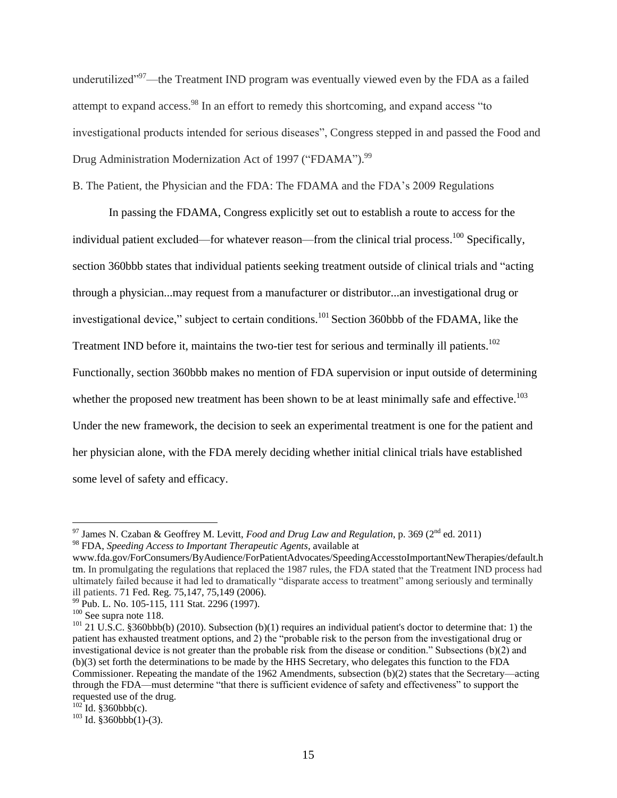underutilized"<sup>97</sup>—the Treatment IND program was eventually viewed even by the FDA as a failed attempt to expand access.<sup>98</sup> In an effort to remedy this shortcoming, and expand access "to investigational products intended for serious diseases", Congress stepped in and passed the Food and Drug Administration Modernization Act of 1997 ("FDAMA").<sup>99</sup>

B. The Patient, the Physician and the FDA: The FDAMA and the FDA's 2009 Regulations

In passing the FDAMA, Congress explicitly set out to establish a route to access for the individual patient excluded—for whatever reason—from the clinical trial process.<sup>100</sup> Specifically, section 360bbb states that individual patients seeking treatment outside of clinical trials and "acting through a physician...may request from a manufacturer or distributor...an investigational drug or investigational device," subject to certain conditions.<sup>101</sup> Section 360bbb of the FDAMA, like the Treatment IND before it, maintains the two-tier test for serious and terminally ill patients.<sup>102</sup> Functionally, section 360bbb makes no mention of FDA supervision or input outside of determining whether the proposed new treatment has been shown to be at least minimally safe and effective.<sup>103</sup> Under the new framework, the decision to seek an experimental treatment is one for the patient and her physician alone, with the FDA merely deciding whether initial clinical trials have established some level of safety and efficacy.

<sup>97</sup> James N. Czaban & Geoffrey M. Levitt, *Food and Drug Law and Regulation*, p. 369 (2nd ed. 2011)

<sup>98</sup> FDA, *Speeding Access to Important Therapeutic Agents*, available at

www.fda.gov/ForConsumers/ByAudience/ForPatientAdvocates/SpeedingAccesstoImportantNewTherapies/default.h tm. In promulgating the regulations that replaced the 1987 rules, the FDA stated that the Treatment IND process had ultimately failed because it had led to dramatically "disparate access to treatment" among seriously and terminally ill patients. 71 Fed. Reg. 75,147, 75,149 (2006).

<sup>&</sup>lt;sup>99</sup> Pub. L. No. 105-115, 111 Stat. 2296 (1997).

<sup>&</sup>lt;sup>100</sup> See supra note 118.

<sup>&</sup>lt;sup>101</sup> 21 U.S.C. §360bbb(b) (2010). Subsection (b)(1) requires an individual patient's doctor to determine that: 1) the patient has exhausted treatment options, and 2) the "probable risk to the person from the investigational drug or investigational device is not greater than the probable risk from the disease or condition." Subsections (b)(2) and (b)(3) set forth the determinations to be made by the HHS Secretary, who delegates this function to the FDA Commissioner. Repeating the mandate of the 1962 Amendments, subsection (b)(2) states that the Secretary—acting through the FDA—must determine "that there is sufficient evidence of safety and effectiveness" to support the requested use of the drug.

 $102$  Id. §360bbb(c).

 $103$  Id. §360bbb(1)-(3).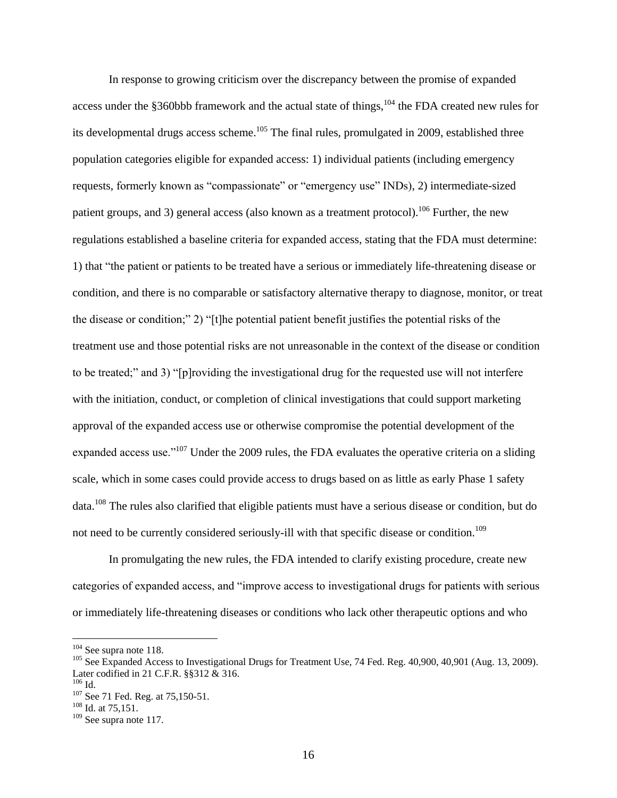In response to growing criticism over the discrepancy between the promise of expanded access under the §360bbb framework and the actual state of things,  $104$  the FDA created new rules for its developmental drugs access scheme.<sup>105</sup> The final rules, promulgated in 2009, established three population categories eligible for expanded access: 1) individual patients (including emergency requests, formerly known as "compassionate" or "emergency use" INDs), 2) intermediate-sized patient groups, and 3) general access (also known as a treatment protocol).<sup>106</sup> Further, the new regulations established a baseline criteria for expanded access, stating that the FDA must determine: 1) that "the patient or patients to be treated have a serious or immediately life-threatening disease or condition, and there is no comparable or satisfactory alternative therapy to diagnose, monitor, or treat the disease or condition;" 2) "[t]he potential patient benefit justifies the potential risks of the treatment use and those potential risks are not unreasonable in the context of the disease or condition to be treated;" and 3) "[p]roviding the investigational drug for the requested use will not interfere with the initiation, conduct, or completion of clinical investigations that could support marketing approval of the expanded access use or otherwise compromise the potential development of the expanded access use."<sup>107</sup> Under the 2009 rules, the FDA evaluates the operative criteria on a sliding scale, which in some cases could provide access to drugs based on as little as early Phase 1 safety data.<sup>108</sup> The rules also clarified that eligible patients must have a serious disease or condition, but do not need to be currently considered seriously-ill with that specific disease or condition.<sup>109</sup>

In promulgating the new rules, the FDA intended to clarify existing procedure, create new categories of expanded access, and "improve access to investigational drugs for patients with serious or immediately life-threatening diseases or conditions who lack other therapeutic options and who

<sup>&</sup>lt;sup>104</sup> See supra note 118.

<sup>&</sup>lt;sup>105</sup> See Expanded Access to Investigational Drugs for Treatment Use, 74 Fed. Reg. 40,900, 40,901 (Aug. 13, 2009). Later codified in 21 C.F.R. §§312 & 316.

 $106$  Id.

<sup>&</sup>lt;sup>107</sup> See 71 Fed. Reg. at 75,150-51.

 $108$  Id. at 75,151.

<sup>109</sup> See supra note 117.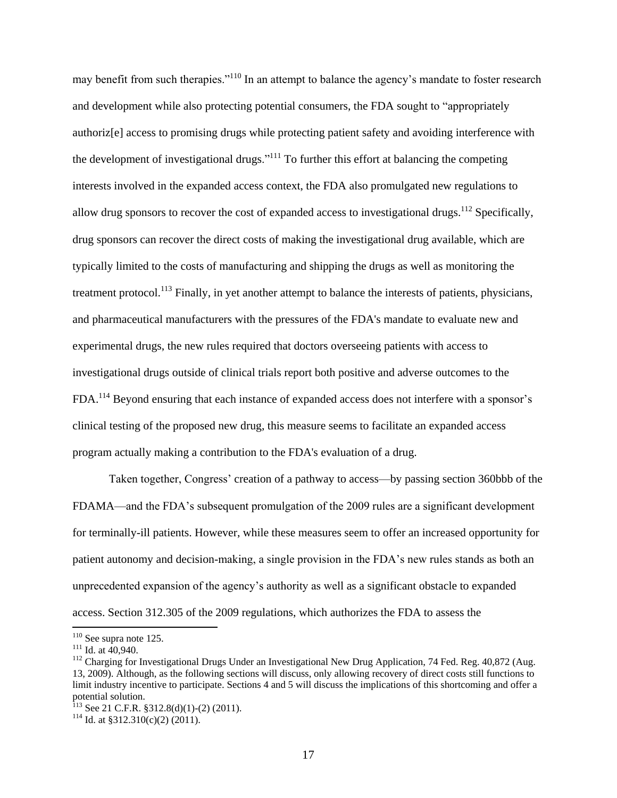may benefit from such therapies."<sup>110</sup> In an attempt to balance the agency's mandate to foster research and development while also protecting potential consumers, the FDA sought to "appropriately authoriz[e] access to promising drugs while protecting patient safety and avoiding interference with the development of investigational drugs."<sup>111</sup> To further this effort at balancing the competing interests involved in the expanded access context, the FDA also promulgated new regulations to allow drug sponsors to recover the cost of expanded access to investigational drugs.<sup>112</sup> Specifically, drug sponsors can recover the direct costs of making the investigational drug available, which are typically limited to the costs of manufacturing and shipping the drugs as well as monitoring the treatment protocol.<sup>113</sup> Finally, in yet another attempt to balance the interests of patients, physicians, and pharmaceutical manufacturers with the pressures of the FDA's mandate to evaluate new and experimental drugs, the new rules required that doctors overseeing patients with access to investigational drugs outside of clinical trials report both positive and adverse outcomes to the FDA.<sup>114</sup> Beyond ensuring that each instance of expanded access does not interfere with a sponsor's clinical testing of the proposed new drug, this measure seems to facilitate an expanded access program actually making a contribution to the FDA's evaluation of a drug.

Taken together, Congress' creation of a pathway to access—by passing section 360bbb of the FDAMA—and the FDA's subsequent promulgation of the 2009 rules are a significant development for terminally-ill patients. However, while these measures seem to offer an increased opportunity for patient autonomy and decision-making, a single provision in the FDA's new rules stands as both an unprecedented expansion of the agency's authority as well as a significant obstacle to expanded access. Section 312.305 of the 2009 regulations, which authorizes the FDA to assess the

 $110$  See supra note 125.

 $^{111}$  Id. at 40,940.

<sup>&</sup>lt;sup>112</sup> Charging for Investigational Drugs Under an Investigational New Drug Application, 74 Fed. Reg. 40,872 (Aug. 13, 2009). Although, as the following sections will discuss, only allowing recovery of direct costs still functions to limit industry incentive to participate. Sections 4 and 5 will discuss the implications of this shortcoming and offer a potential solution.

<sup>&</sup>lt;sup>113</sup> See 21 C.F.R. §312.8(d)(1)-(2) (2011).

 $114$  Id. at §312.310(c)(2) (2011).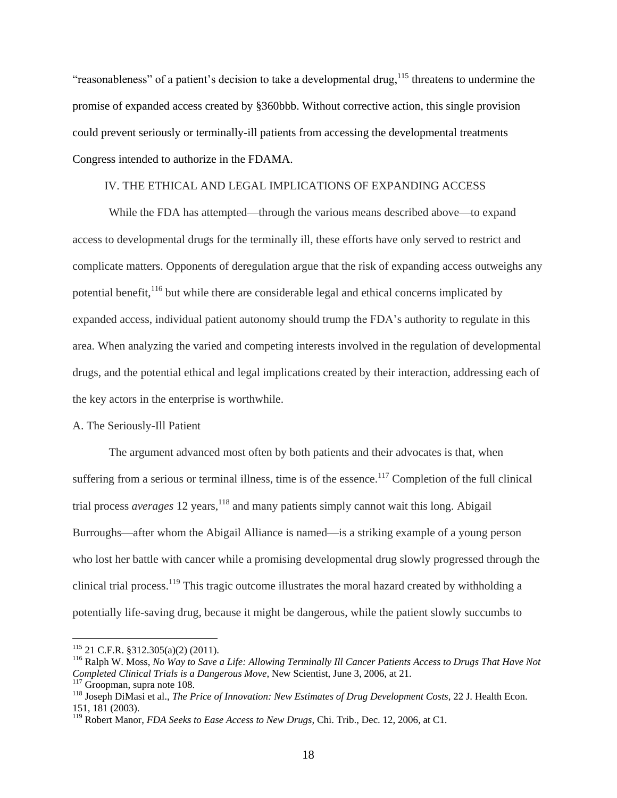"reasonableness" of a patient's decision to take a developmental drug,  $^{115}$  threatens to undermine the promise of expanded access created by §360bbb. Without corrective action, this single provision could prevent seriously or terminally-ill patients from accessing the developmental treatments Congress intended to authorize in the FDAMA.

#### IV. THE ETHICAL AND LEGAL IMPLICATIONS OF EXPANDING ACCESS

While the FDA has attempted—through the various means described above—to expand access to developmental drugs for the terminally ill, these efforts have only served to restrict and complicate matters. Opponents of deregulation argue that the risk of expanding access outweighs any potential benefit, <sup>116</sup> but while there are considerable legal and ethical concerns implicated by expanded access, individual patient autonomy should trump the FDA's authority to regulate in this area. When analyzing the varied and competing interests involved in the regulation of developmental drugs, and the potential ethical and legal implications created by their interaction, addressing each of the key actors in the enterprise is worthwhile.

#### A. The Seriously-Ill Patient

The argument advanced most often by both patients and their advocates is that, when suffering from a serious or terminal illness, time is of the essence.<sup>117</sup> Completion of the full clinical trial process *averages* 12 years,<sup>118</sup> and many patients simply cannot wait this long. Abigail Burroughs—after whom the Abigail Alliance is named—is a striking example of a young person who lost her battle with cancer while a promising developmental drug slowly progressed through the clinical trial process.<sup>119</sup> This tragic outcome illustrates the moral hazard created by withholding a potentially life-saving drug, because it might be dangerous, while the patient slowly succumbs to

<sup>115</sup> 21 C.F.R. §312.305(a)(2) (2011).

<sup>116</sup> Ralph W. Moss, *No Way to Save a Life: Allowing Terminally Ill Cancer Patients Access to Drugs That Have Not Completed Clinical Trials is a Dangerous Move*, New Scientist, June 3, 2006, at 21.

<sup>&</sup>lt;sup>117</sup> Groopman, supra note 108.

<sup>118</sup> Joseph DiMasi et al., *The Price of Innovation: New Estimates of Drug Development Costs*, 22 J. Health Econ. 151, 181 (2003).

<sup>119</sup> Robert Manor, *FDA Seeks to Ease Access to New Drugs*, Chi. Trib., Dec. 12, 2006, at C1.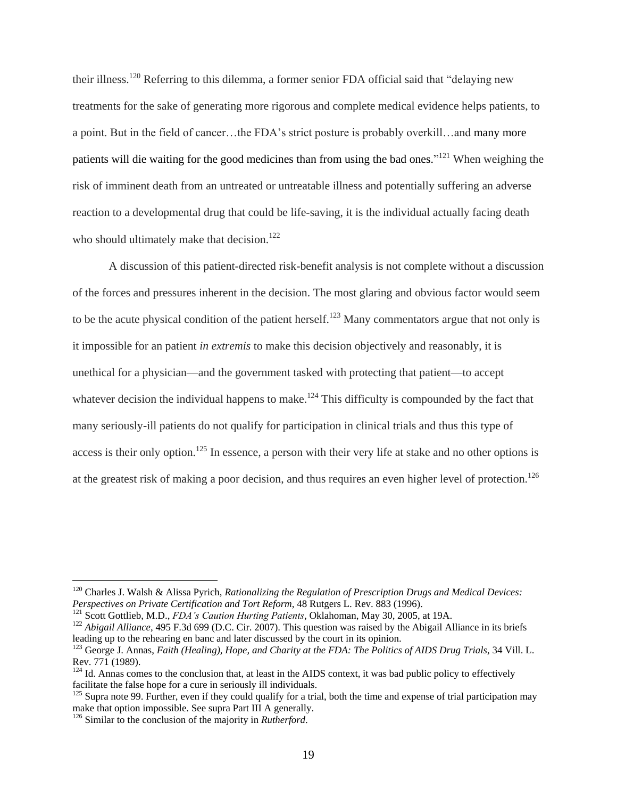their illness.<sup>120</sup> Referring to this dilemma, a former senior FDA official said that "delaying new treatments for the sake of generating more rigorous and complete medical evidence helps patients, to a point. But in the field of cancer…the FDA's strict posture is probably overkill…and many more patients will die waiting for the good medicines than from using the bad ones."<sup>121</sup> When weighing the risk of imminent death from an untreated or untreatable illness and potentially suffering an adverse reaction to a developmental drug that could be life-saving, it is the individual actually facing death who should ultimately make that decision.<sup>122</sup>

A discussion of this patient-directed risk-benefit analysis is not complete without a discussion of the forces and pressures inherent in the decision. The most glaring and obvious factor would seem to be the acute physical condition of the patient herself.<sup>123</sup> Many commentators argue that not only is it impossible for an patient *in extremis* to make this decision objectively and reasonably, it is unethical for a physician—and the government tasked with protecting that patient—to accept whatever decision the individual happens to make.<sup>124</sup> This difficulty is compounded by the fact that many seriously-ill patients do not qualify for participation in clinical trials and thus this type of access is their only option.<sup>125</sup> In essence, a person with their very life at stake and no other options is at the greatest risk of making a poor decision, and thus requires an even higher level of protection.<sup>126</sup>

<sup>120</sup> Charles J. Walsh & Alissa Pyrich, *Rationalizing the Regulation of Prescription Drugs and Medical Devices: Perspectives on Private Certification and Tort Reform*, 48 Rutgers L. Rev. 883 (1996).

<sup>121</sup> Scott Gottlieb, M.D., *FDA's Caution Hurting Patients*, Oklahoman, May 30, 2005, at 19A.

<sup>&</sup>lt;sup>122</sup> *Abigail Alliance*, 495 F.3d 699 (D.C. Cir. 2007). This question was raised by the Abigail Alliance in its briefs leading up to the rehearing en banc and later discussed by the court in its opinion.

<sup>&</sup>lt;sup>123</sup> George J. Annas, *Faith (Healing), Hope, and Charity at the FDA: The Politics of AIDS Drug Trials*, 34 Vill. L. Rev. 771 (1989).

 $124$  Id. Annas comes to the conclusion that, at least in the AIDS context, it was bad public policy to effectively facilitate the false hope for a cure in seriously ill individuals.

 $125$  Supra note 99. Further, even if they could qualify for a trial, both the time and expense of trial participation may make that option impossible. See supra Part III A generally.

<sup>126</sup> Similar to the conclusion of the majority in *Rutherford*.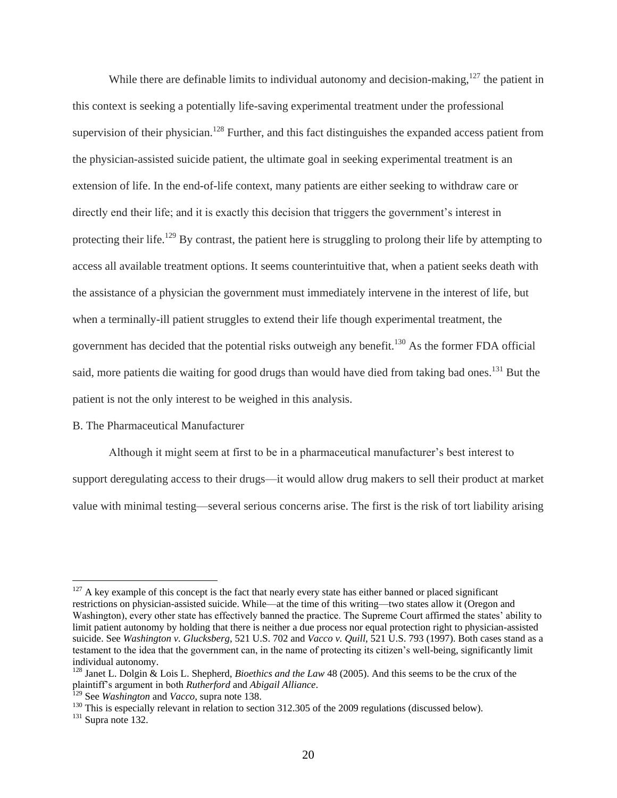While there are definable limits to individual autonomy and decision-making,  $127$  the patient in this context is seeking a potentially life-saving experimental treatment under the professional supervision of their physician.<sup>128</sup> Further, and this fact distinguishes the expanded access patient from the physician-assisted suicide patient, the ultimate goal in seeking experimental treatment is an extension of life. In the end-of-life context, many patients are either seeking to withdraw care or directly end their life; and it is exactly this decision that triggers the government's interest in protecting their life.<sup>129</sup> By contrast, the patient here is struggling to prolong their life by attempting to access all available treatment options. It seems counterintuitive that, when a patient seeks death with the assistance of a physician the government must immediately intervene in the interest of life, but when a terminally-ill patient struggles to extend their life though experimental treatment, the government has decided that the potential risks outweigh any benefit.<sup>130</sup> As the former FDA official said, more patients die waiting for good drugs than would have died from taking bad ones.<sup>131</sup> But the patient is not the only interest to be weighed in this analysis.

#### B. The Pharmaceutical Manufacturer

Although it might seem at first to be in a pharmaceutical manufacturer's best interest to

support deregulating access to their drugs—it would allow drug makers to sell their product at market value with minimal testing—several serious concerns arise. The first is the risk of tort liability arising

 $127$  A key example of this concept is the fact that nearly every state has either banned or placed significant restrictions on physician-assisted suicide. While—at the time of this writing—two states allow it (Oregon and Washington), every other state has effectively banned the practice. The Supreme Court affirmed the states' ability to limit patient autonomy by holding that there is neither a due process nor equal protection right to physician-assisted suicide. See *Washington v. Glucksberg*, 521 U.S. 702 and *Vacco v. Quill*, 521 U.S. 793 (1997). Both cases stand as a testament to the idea that the government can, in the name of protecting its citizen's well-being, significantly limit individual autonomy.

<sup>128</sup> Janet L. Dolgin & Lois L. Shepherd, *Bioethics and the Law* 48 (2005). And this seems to be the crux of the plaintiff's argument in both *Rutherford* and *Abigail Alliance*.

<sup>129</sup> See *Washington* and *Vacco*, supra note 138.

<sup>&</sup>lt;sup>130</sup> This is especially relevant in relation to section 312.305 of the 2009 regulations (discussed below).

 $131$  Supra note 132.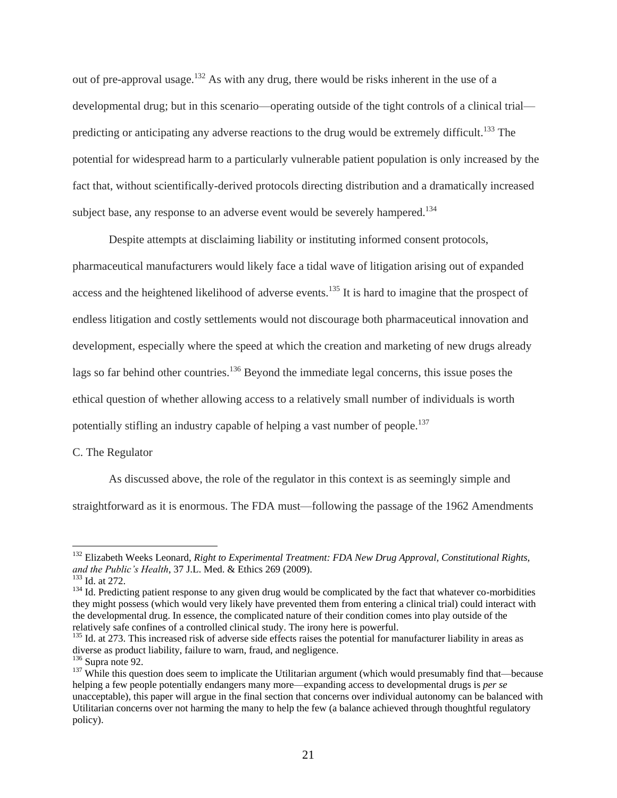out of pre-approval usage.<sup>132</sup> As with any drug, there would be risks inherent in the use of a developmental drug; but in this scenario—operating outside of the tight controls of a clinical trial predicting or anticipating any adverse reactions to the drug would be extremely difficult.<sup>133</sup> The potential for widespread harm to a particularly vulnerable patient population is only increased by the fact that, without scientifically-derived protocols directing distribution and a dramatically increased subject base, any response to an adverse event would be severely hampered.<sup>134</sup>

Despite attempts at disclaiming liability or instituting informed consent protocols, pharmaceutical manufacturers would likely face a tidal wave of litigation arising out of expanded access and the heightened likelihood of adverse events.<sup>135</sup> It is hard to imagine that the prospect of endless litigation and costly settlements would not discourage both pharmaceutical innovation and development, especially where the speed at which the creation and marketing of new drugs already lags so far behind other countries.<sup>136</sup> Beyond the immediate legal concerns, this issue poses the ethical question of whether allowing access to a relatively small number of individuals is worth potentially stifling an industry capable of helping a vast number of people.<sup>137</sup>

C. The Regulator

As discussed above, the role of the regulator in this context is as seemingly simple and straightforward as it is enormous. The FDA must—following the passage of the 1962 Amendments

<sup>132</sup> Elizabeth Weeks Leonard, *Right to Experimental Treatment: FDA New Drug Approval, Constitutional Rights, and the Public's Health*, 37 J.L. Med. & Ethics 269 (2009).

<sup>&</sup>lt;sup>133</sup> Id. at 272.

<sup>&</sup>lt;sup>134</sup> Id. Predicting patient response to any given drug would be complicated by the fact that whatever co-morbidities they might possess (which would very likely have prevented them from entering a clinical trial) could interact with the developmental drug. In essence, the complicated nature of their condition comes into play outside of the relatively safe confines of a controlled clinical study. The irony here is powerful.

 $135$  Id. at 273. This increased risk of adverse side effects raises the potential for manufacturer liability in areas as diverse as product liability, failure to warn, fraud, and negligence.

 $136$  Supra note 92.

 $137$  While this question does seem to implicate the Utilitarian argument (which would presumably find that—because helping a few people potentially endangers many more—expanding access to developmental drugs is *per se* unacceptable), this paper will argue in the final section that concerns over individual autonomy can be balanced with Utilitarian concerns over not harming the many to help the few (a balance achieved through thoughtful regulatory policy).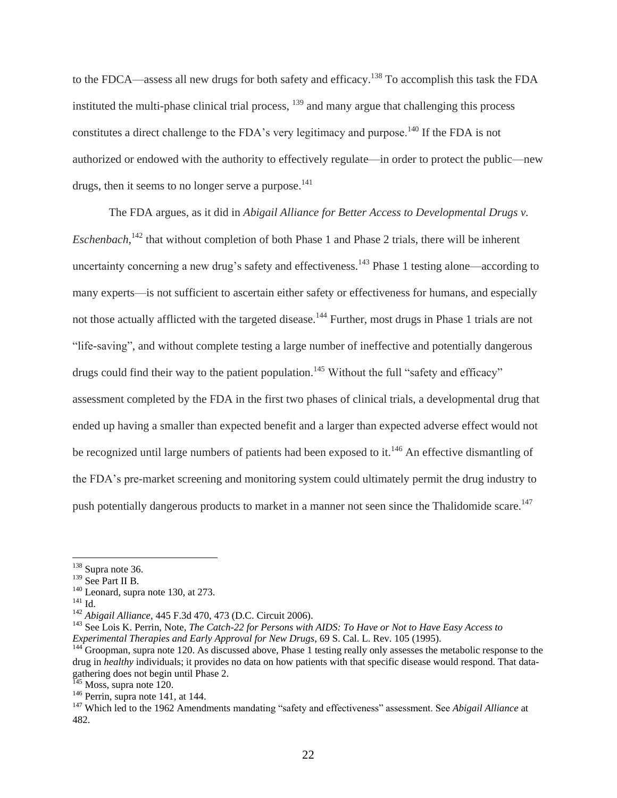to the FDCA—assess all new drugs for both safety and efficacy.<sup>138</sup> To accomplish this task the FDA instituted the multi-phase clinical trial process,  $139$  and many argue that challenging this process constitutes a direct challenge to the FDA's very legitimacy and purpose.<sup>140</sup> If the FDA is not authorized or endowed with the authority to effectively regulate—in order to protect the public—new drugs, then it seems to no longer serve a purpose. $^{141}$ 

The FDA argues, as it did in *Abigail Alliance for Better Access to Developmental Drugs v. Eschenbach*,<sup>142</sup> that without completion of both Phase 1 and Phase 2 trials, there will be inherent uncertainty concerning a new drug's safety and effectiveness.<sup>143</sup> Phase 1 testing alone—according to many experts—is not sufficient to ascertain either safety or effectiveness for humans, and especially not those actually afflicted with the targeted disease.<sup>144</sup> Further, most drugs in Phase 1 trials are not "life-saving", and without complete testing a large number of ineffective and potentially dangerous drugs could find their way to the patient population.<sup>145</sup> Without the full "safety and efficacy" assessment completed by the FDA in the first two phases of clinical trials, a developmental drug that ended up having a smaller than expected benefit and a larger than expected adverse effect would not be recognized until large numbers of patients had been exposed to it.<sup>146</sup> An effective dismantling of the FDA's pre-market screening and monitoring system could ultimately permit the drug industry to push potentially dangerous products to market in a manner not seen since the Thalidomide scare.<sup>147</sup>

 $138$  Supra note 36.

<sup>139</sup> See Part II B.

<sup>&</sup>lt;sup>140</sup> Leonard, supra note 130, at 273.

 $^{141}$  Id.

<sup>142</sup> *Abigail Alliance*, 445 F.3d 470, 473 (D.C. Circuit 2006).

<sup>143</sup> See Lois K. Perrin, Note, *The Catch-22 for Persons with AIDS: To Have or Not to Have Easy Access to Experimental Therapies and Early Approval for New Drugs*, 69 S. Cal. L. Rev. 105 (1995).

<sup>&</sup>lt;sup>144</sup> Groopman, supra note 120. As discussed above, Phase 1 testing really only assesses the metabolic response to the drug in *healthy* individuals; it provides no data on how patients with that specific disease would respond. That datagathering does not begin until Phase 2.

 $145$  Moss, supra note 120.

<sup>&</sup>lt;sup>146</sup> Perrin, supra note 141, at 144.

<sup>&</sup>lt;sup>147</sup> Which led to the 1962 Amendments mandating "safety and effectiveness" assessment. See *Abigail Alliance* at 482.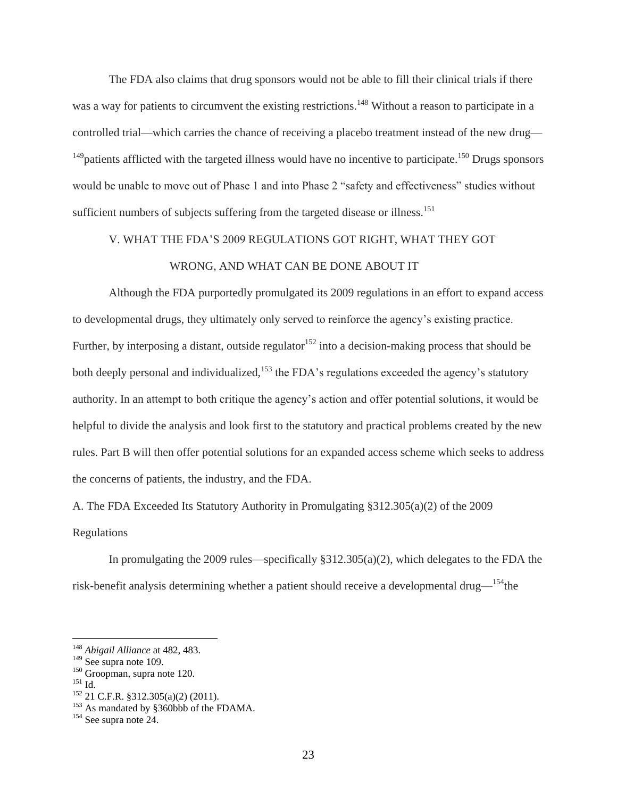The FDA also claims that drug sponsors would not be able to fill their clinical trials if there was a way for patients to circumvent the existing restrictions.<sup>148</sup> Without a reason to participate in a controlled trial—which carries the chance of receiving a placebo treatment instead of the new drug—  $149$  patients afflicted with the targeted illness would have no incentive to participate.<sup>150</sup> Drugs sponsors would be unable to move out of Phase 1 and into Phase 2 "safety and effectiveness" studies without sufficient numbers of subjects suffering from the targeted disease or illness.<sup>151</sup>

## V. WHAT THE FDA'S 2009 REGULATIONS GOT RIGHT, WHAT THEY GOT WRONG, AND WHAT CAN BE DONE ABOUT IT

Although the FDA purportedly promulgated its 2009 regulations in an effort to expand access to developmental drugs, they ultimately only served to reinforce the agency's existing practice. Further, by interposing a distant, outside regulator<sup>152</sup> into a decision-making process that should be both deeply personal and individualized,<sup>153</sup> the FDA's regulations exceeded the agency's statutory authority. In an attempt to both critique the agency's action and offer potential solutions, it would be helpful to divide the analysis and look first to the statutory and practical problems created by the new rules. Part B will then offer potential solutions for an expanded access scheme which seeks to address the concerns of patients, the industry, and the FDA.

A. The FDA Exceeded Its Statutory Authority in Promulgating §312.305(a)(2) of the 2009 Regulations

In promulgating the 2009 rules—specifically §312.305(a)(2), which delegates to the FDA the risk-benefit analysis determining whether a patient should receive a developmental drug—<sup>154</sup>the

<sup>148</sup> *Abigail Alliance* at 482, 483.

<sup>&</sup>lt;sup>149</sup> See supra note 109.

<sup>150</sup> Groopman, supra note 120.

<sup>151</sup> Id.

 $152$  21 C.F.R. §312.305(a)(2) (2011).

<sup>&</sup>lt;sup>153</sup> As mandated by §360bbb of the FDAMA.

<sup>154</sup> See supra note 24.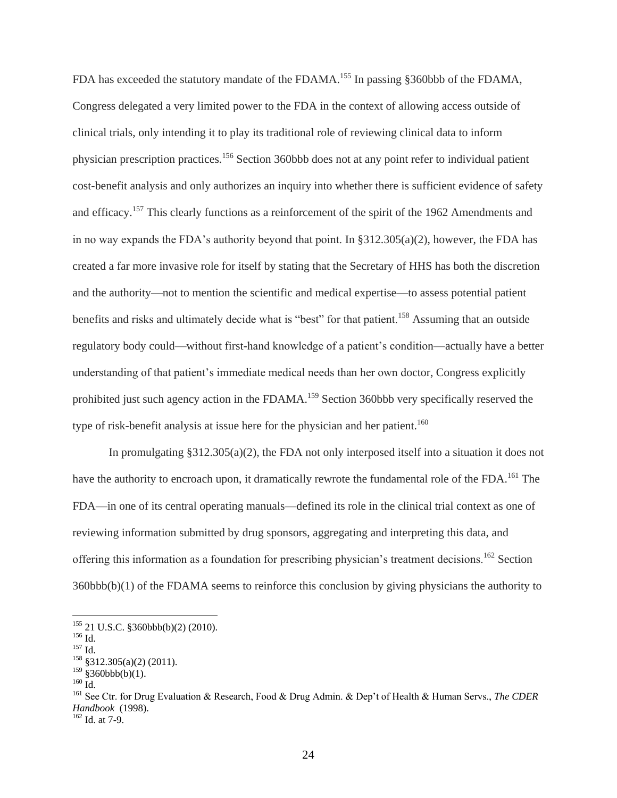FDA has exceeded the statutory mandate of the FDAMA.<sup>155</sup> In passing §360bbb of the FDAMA, Congress delegated a very limited power to the FDA in the context of allowing access outside of clinical trials, only intending it to play its traditional role of reviewing clinical data to inform physician prescription practices.<sup>156</sup> Section 360bbb does not at any point refer to individual patient cost-benefit analysis and only authorizes an inquiry into whether there is sufficient evidence of safety and efficacy.<sup>157</sup> This clearly functions as a reinforcement of the spirit of the 1962 Amendments and in no way expands the FDA's authority beyond that point. In §312.305(a)(2), however, the FDA has created a far more invasive role for itself by stating that the Secretary of HHS has both the discretion and the authority—not to mention the scientific and medical expertise—to assess potential patient benefits and risks and ultimately decide what is "best" for that patient.<sup>158</sup> Assuming that an outside regulatory body could—without first-hand knowledge of a patient's condition—actually have a better understanding of that patient's immediate medical needs than her own doctor, Congress explicitly prohibited just such agency action in the FDAMA.<sup>159</sup> Section 360bbb very specifically reserved the type of risk-benefit analysis at issue here for the physician and her patient.<sup>160</sup>

In promulgating §312.305(a)(2), the FDA not only interposed itself into a situation it does not have the authority to encroach upon, it dramatically rewrote the fundamental role of the FDA.<sup>161</sup> The FDA—in one of its central operating manuals—defined its role in the clinical trial context as one of reviewing information submitted by drug sponsors, aggregating and interpreting this data, and offering this information as a foundation for prescribing physician's treatment decisions.<sup>162</sup> Section 360bbb(b)(1) of the FDAMA seems to reinforce this conclusion by giving physicians the authority to

 $155$  21 U.S.C. §360bbb(b)(2) (2010).

<sup>156</sup> Id.

<sup>157</sup> Id.

 $158 \overline{\$312.305(a)(2)(2011)}$ .

 $159$  §360bbb(b)(1).

<sup>160</sup> Id.

<sup>161</sup> See Ctr. for Drug Evaluation & Research, Food & Drug Admin. & Dep't of Health & Human Servs., *The CDER Handbook* (1998).

 $162$  Id. at 7-9.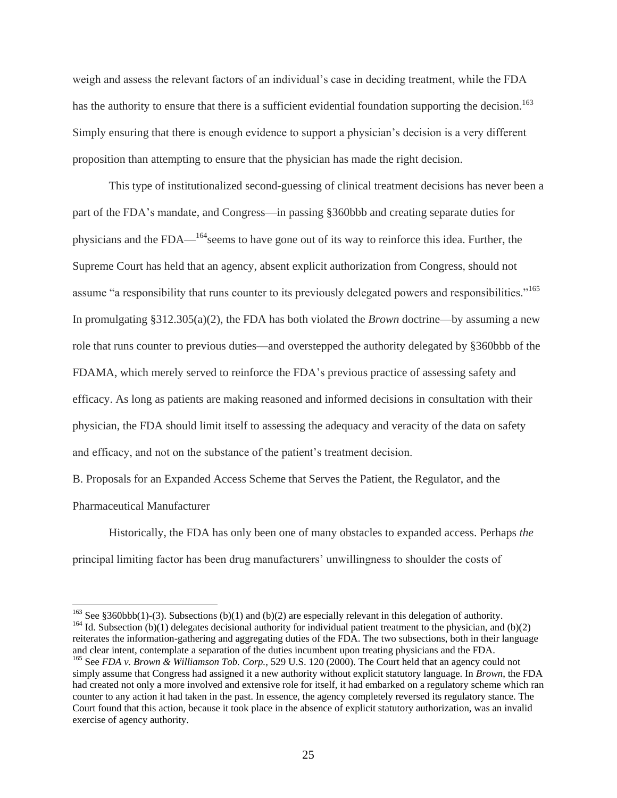weigh and assess the relevant factors of an individual's case in deciding treatment, while the FDA has the authority to ensure that there is a sufficient evidential foundation supporting the decision.<sup>163</sup> Simply ensuring that there is enough evidence to support a physician's decision is a very different proposition than attempting to ensure that the physician has made the right decision.

This type of institutionalized second-guessing of clinical treatment decisions has never been a part of the FDA's mandate, and Congress—in passing §360bbb and creating separate duties for physicians and the  $FDA$ <sup> $164$ </sup>seems to have gone out of its way to reinforce this idea. Further, the Supreme Court has held that an agency, absent explicit authorization from Congress, should not assume "a responsibility that runs counter to its previously delegated powers and responsibilities."<sup>165</sup> In promulgating §312.305(a)(2), the FDA has both violated the *Brown* doctrine—by assuming a new role that runs counter to previous duties—and overstepped the authority delegated by §360bbb of the FDAMA, which merely served to reinforce the FDA's previous practice of assessing safety and efficacy. As long as patients are making reasoned and informed decisions in consultation with their physician, the FDA should limit itself to assessing the adequacy and veracity of the data on safety and efficacy, and not on the substance of the patient's treatment decision.

B. Proposals for an Expanded Access Scheme that Serves the Patient, the Regulator, and the Pharmaceutical Manufacturer

 $\overline{a}$ 

Historically, the FDA has only been one of many obstacles to expanded access. Perhaps *the* principal limiting factor has been drug manufacturers' unwillingness to shoulder the costs of

<sup>&</sup>lt;sup>163</sup> See §360bbb(1)-(3). Subsections (b)(1) and (b)(2) are especially relevant in this delegation of authority. <sup>164</sup> Id. Subsection (b)(1) delegates decisional authority for individual patient treatment to the physician, and (b)(2) reiterates the information-gathering and aggregating duties of the FDA. The two subsections, both in their language and clear intent, contemplate a separation of the duties incumbent upon treating physicians and the FDA. <sup>165</sup> See *FDA v. Brown & Williamson Tob. Corp.*, 529 U.S. 120 (2000). The Court held that an agency could not

simply assume that Congress had assigned it a new authority without explicit statutory language. In *Brown*, the FDA had created not only a more involved and extensive role for itself, it had embarked on a regulatory scheme which ran counter to any action it had taken in the past. In essence, the agency completely reversed its regulatory stance. The Court found that this action, because it took place in the absence of explicit statutory authorization, was an invalid exercise of agency authority.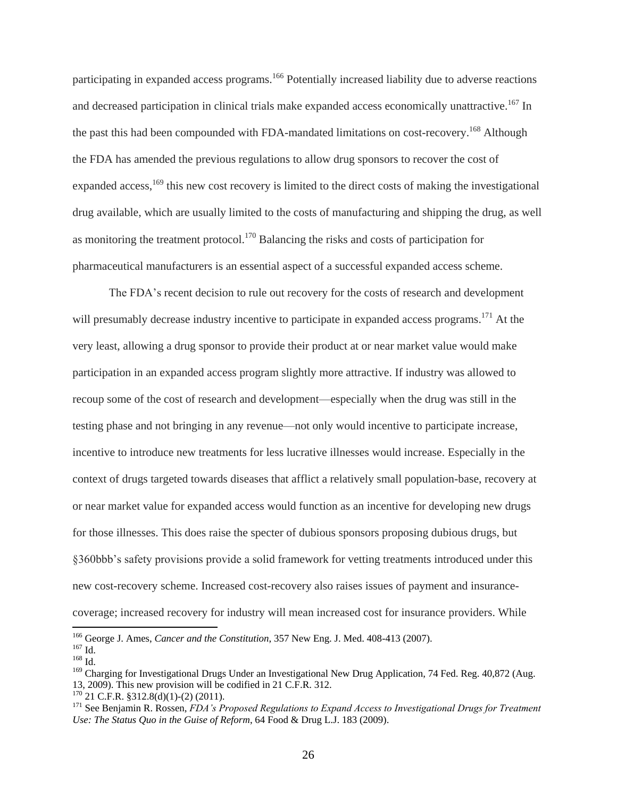participating in expanded access programs.<sup>166</sup> Potentially increased liability due to adverse reactions and decreased participation in clinical trials make expanded access economically unattractive.<sup>167</sup> In the past this had been compounded with FDA-mandated limitations on cost-recovery.<sup>168</sup> Although the FDA has amended the previous regulations to allow drug sponsors to recover the cost of expanded access,<sup>169</sup> this new cost recovery is limited to the direct costs of making the investigational drug available, which are usually limited to the costs of manufacturing and shipping the drug, as well as monitoring the treatment protocol.<sup>170</sup> Balancing the risks and costs of participation for pharmaceutical manufacturers is an essential aspect of a successful expanded access scheme.

The FDA's recent decision to rule out recovery for the costs of research and development will presumably decrease industry incentive to participate in expanded access programs.<sup>171</sup> At the very least, allowing a drug sponsor to provide their product at or near market value would make participation in an expanded access program slightly more attractive. If industry was allowed to recoup some of the cost of research and development—especially when the drug was still in the testing phase and not bringing in any revenue—not only would incentive to participate increase, incentive to introduce new treatments for less lucrative illnesses would increase. Especially in the context of drugs targeted towards diseases that afflict a relatively small population-base, recovery at or near market value for expanded access would function as an incentive for developing new drugs for those illnesses. This does raise the specter of dubious sponsors proposing dubious drugs, but §360bbb's safety provisions provide a solid framework for vetting treatments introduced under this new cost-recovery scheme. Increased cost-recovery also raises issues of payment and insurancecoverage; increased recovery for industry will mean increased cost for insurance providers. While

<sup>166</sup> George J. Ames, *Cancer and the Constitution*, 357 New Eng. J. Med. 408-413 (2007).

<sup>167</sup> Id.

 $^{168}$  Id.

<sup>&</sup>lt;sup>169</sup> Charging for Investigational Drugs Under an Investigational New Drug Application, 74 Fed. Reg. 40,872 (Aug. 13, 2009). This new provision will be codified in 21 C.F.R. 312.

 $170^{170}$  21 C.F.R. §312.8(d)(1)-(2) (2011).

<sup>&</sup>lt;sup>171</sup> See Benjamin R. Rossen, *FDA's Proposed Regulations to Expand Access to Investigational Drugs for Treatment Use: The Status Quo in the Guise of Reform*, 64 Food & Drug L.J. 183 (2009).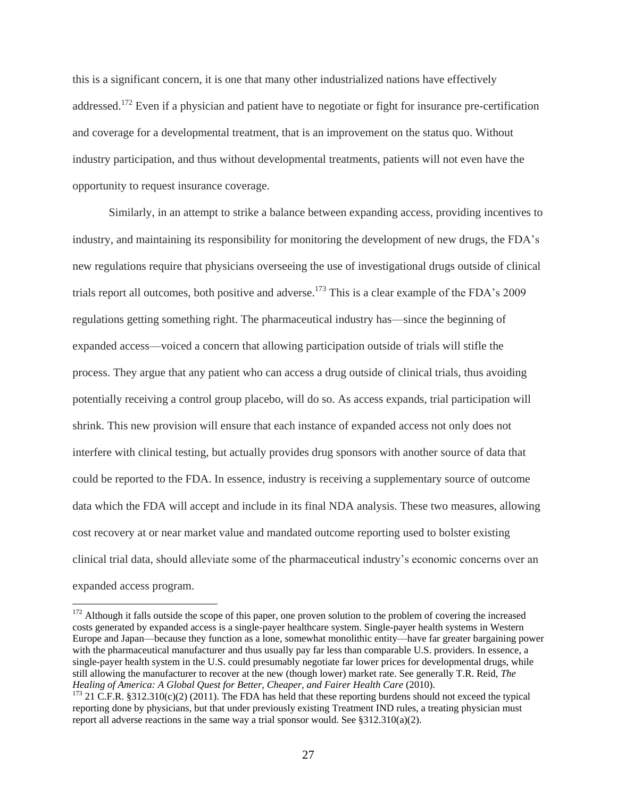this is a significant concern, it is one that many other industrialized nations have effectively addressed.<sup>172</sup> Even if a physician and patient have to negotiate or fight for insurance pre-certification and coverage for a developmental treatment, that is an improvement on the status quo. Without industry participation, and thus without developmental treatments, patients will not even have the opportunity to request insurance coverage.

Similarly, in an attempt to strike a balance between expanding access, providing incentives to industry, and maintaining its responsibility for monitoring the development of new drugs, the FDA's new regulations require that physicians overseeing the use of investigational drugs outside of clinical trials report all outcomes, both positive and adverse.<sup>173</sup> This is a clear example of the FDA's 2009 regulations getting something right. The pharmaceutical industry has—since the beginning of expanded access—voiced a concern that allowing participation outside of trials will stifle the process. They argue that any patient who can access a drug outside of clinical trials, thus avoiding potentially receiving a control group placebo, will do so. As access expands, trial participation will shrink. This new provision will ensure that each instance of expanded access not only does not interfere with clinical testing, but actually provides drug sponsors with another source of data that could be reported to the FDA. In essence, industry is receiving a supplementary source of outcome data which the FDA will accept and include in its final NDA analysis. These two measures, allowing cost recovery at or near market value and mandated outcome reporting used to bolster existing clinical trial data, should alleviate some of the pharmaceutical industry's economic concerns over an expanded access program.

 $172$  Although it falls outside the scope of this paper, one proven solution to the problem of covering the increased costs generated by expanded access is a single-payer healthcare system. Single-payer health systems in Western Europe and Japan—because they function as a lone, somewhat monolithic entity—have far greater bargaining power with the pharmaceutical manufacturer and thus usually pay far less than comparable U.S. providers. In essence, a single-payer health system in the U.S. could presumably negotiate far lower prices for developmental drugs, while still allowing the manufacturer to recover at the new (though lower) market rate. See generally T.R. Reid, *The Healing of America: A Global Quest for Better, Cheaper, and Fairer Health Care* (2010).

 $173$  21 C.F.R. §312.310(c)(2) (2011). The FDA has held that these reporting burdens should not exceed the typical reporting done by physicians, but that under previously existing Treatment IND rules, a treating physician must report all adverse reactions in the same way a trial sponsor would. See §312.310(a)(2).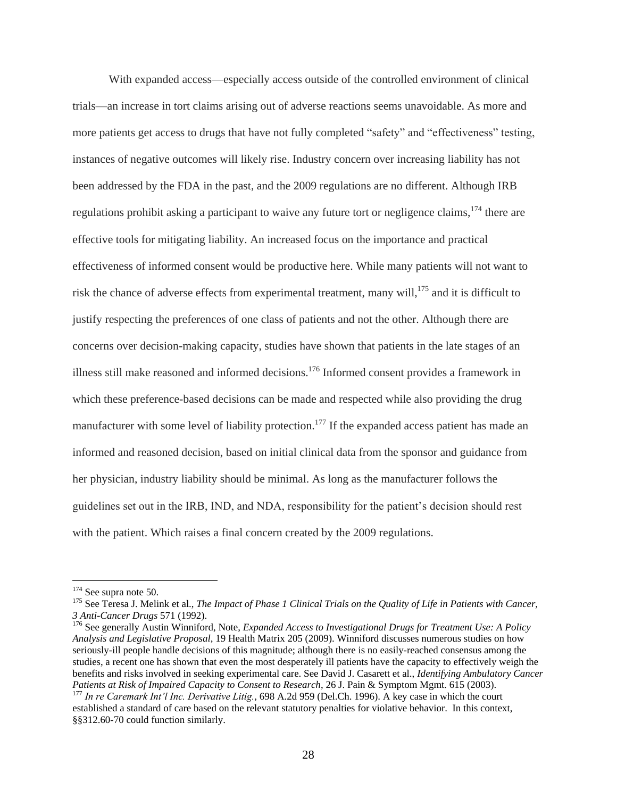With expanded access—especially access outside of the controlled environment of clinical trials—an increase in tort claims arising out of adverse reactions seems unavoidable. As more and more patients get access to drugs that have not fully completed "safety" and "effectiveness" testing, instances of negative outcomes will likely rise. Industry concern over increasing liability has not been addressed by the FDA in the past, and the 2009 regulations are no different. Although IRB regulations prohibit asking a participant to waive any future tort or negligence claims,<sup>174</sup> there are effective tools for mitigating liability. An increased focus on the importance and practical effectiveness of informed consent would be productive here. While many patients will not want to risk the chance of adverse effects from experimental treatment, many will,<sup>175</sup> and it is difficult to justify respecting the preferences of one class of patients and not the other. Although there are concerns over decision-making capacity, studies have shown that patients in the late stages of an illness still make reasoned and informed decisions.<sup>176</sup> Informed consent provides a framework in which these preference-based decisions can be made and respected while also providing the drug manufacturer with some level of liability protection.<sup>177</sup> If the expanded access patient has made an informed and reasoned decision, based on initial clinical data from the sponsor and guidance from her physician, industry liability should be minimal. As long as the manufacturer follows the guidelines set out in the IRB, IND, and NDA, responsibility for the patient's decision should rest with the patient. Which raises a final concern created by the 2009 regulations.

<sup>&</sup>lt;sup>174</sup> See supra note 50.

<sup>&</sup>lt;sup>175</sup> See Teresa J. Melink et al., *The Impact of Phase 1 Clinical Trials on the Quality of Life in Patients with Cancer*, *3 Anti-Cancer Drugs* 571 (1992).

<sup>176</sup> See generally Austin Winniford, Note, *Expanded Access to Investigational Drugs for Treatment Use: A Policy Analysis and Legislative Proposal*, 19 Health Matrix 205 (2009). Winniford discusses numerous studies on how seriously-ill people handle decisions of this magnitude; although there is no easily-reached consensus among the studies, a recent one has shown that even the most desperately ill patients have the capacity to effectively weigh the benefits and risks involved in seeking experimental care. See David J. Casarett et al., *Identifying Ambulatory Cancer Patients at Risk of Impaired Capacity to Consent to Research*, 26 J. Pain & Symptom Mgmt. 615 (2003). <sup>177</sup> *In re Caremark Int'l Inc. Derivative Litig.*, 698 A.2d 959 (Del.Ch. 1996). A key case in which the court

established a standard of care based on the relevant statutory penalties for violative behavior. In this context, §§312.60-70 could function similarly.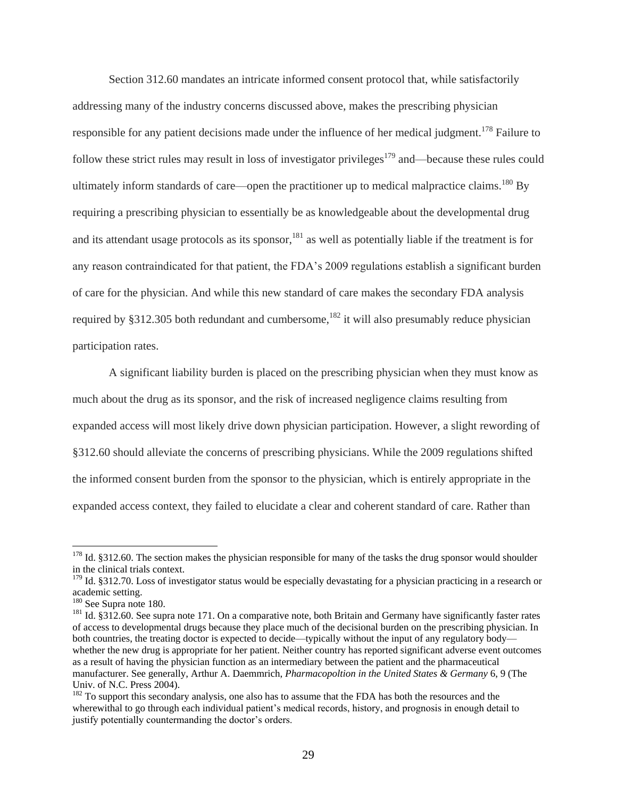Section 312.60 mandates an intricate informed consent protocol that, while satisfactorily addressing many of the industry concerns discussed above, makes the prescribing physician responsible for any patient decisions made under the influence of her medical judgment.<sup>178</sup> Failure to follow these strict rules may result in loss of investigator privileges $179$  and—because these rules could ultimately inform standards of care—open the practitioner up to medical malpractice claims.<sup>180</sup> By requiring a prescribing physician to essentially be as knowledgeable about the developmental drug and its attendant usage protocols as its sponsor,<sup>181</sup> as well as potentially liable if the treatment is for any reason contraindicated for that patient, the FDA's 2009 regulations establish a significant burden of care for the physician. And while this new standard of care makes the secondary FDA analysis required by §312.305 both redundant and cumbersome, <sup>182</sup> it will also presumably reduce physician participation rates.

A significant liability burden is placed on the prescribing physician when they must know as much about the drug as its sponsor, and the risk of increased negligence claims resulting from expanded access will most likely drive down physician participation. However, a slight rewording of §312.60 should alleviate the concerns of prescribing physicians. While the 2009 regulations shifted the informed consent burden from the sponsor to the physician, which is entirely appropriate in the expanded access context, they failed to elucidate a clear and coherent standard of care. Rather than

 $178$  Id. §312.60. The section makes the physician responsible for many of the tasks the drug sponsor would shoulder in the clinical trials context.

 $179$  Id. §312.70. Loss of investigator status would be especially devastating for a physician practicing in a research or academic setting.

<sup>180</sup> See Supra note 180.

<sup>&</sup>lt;sup>181</sup> Id. §312.60. See supra note 171. On a comparative note, both Britain and Germany have significantly faster rates of access to developmental drugs because they place much of the decisional burden on the prescribing physician. In both countries, the treating doctor is expected to decide—typically without the input of any regulatory body whether the new drug is appropriate for her patient. Neither country has reported significant adverse event outcomes as a result of having the physician function as an intermediary between the patient and the pharmaceutical manufacturer. See generally, Arthur A. Daemmrich, *Pharmacopoltion in the United States & Germany* 6, 9 (The Univ. of N.C. Press 2004).

<sup>&</sup>lt;sup>182</sup> To support this secondary analysis, one also has to assume that the FDA has both the resources and the wherewithal to go through each individual patient's medical records, history, and prognosis in enough detail to justify potentially countermanding the doctor's orders.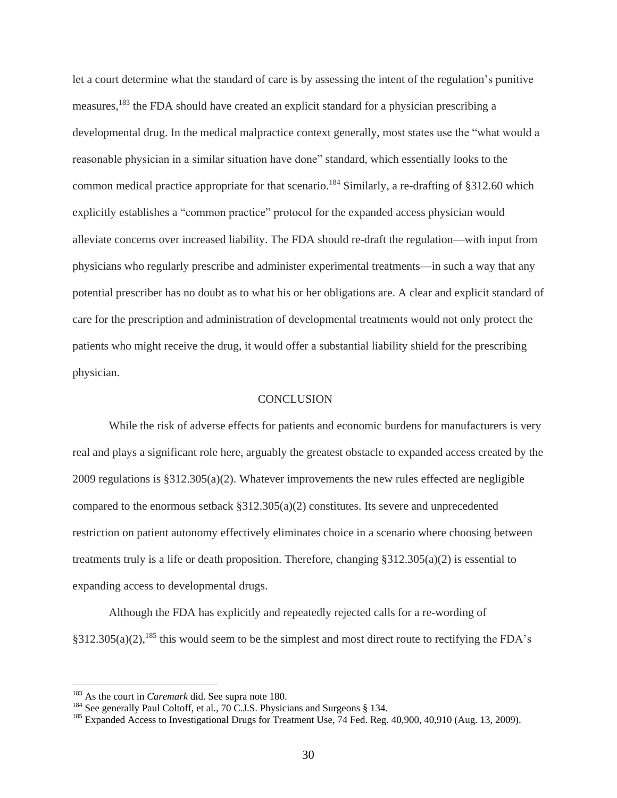let a court determine what the standard of care is by assessing the intent of the regulation's punitive measures,<sup>183</sup> the FDA should have created an explicit standard for a physician prescribing a developmental drug. In the medical malpractice context generally, most states use the "what would a reasonable physician in a similar situation have done" standard, which essentially looks to the common medical practice appropriate for that scenario.<sup>184</sup> Similarly, a re-drafting of §312.60 which explicitly establishes a "common practice" protocol for the expanded access physician would alleviate concerns over increased liability. The FDA should re-draft the regulation—with input from physicians who regularly prescribe and administer experimental treatments—in such a way that any potential prescriber has no doubt as to what his or her obligations are. A clear and explicit standard of care for the prescription and administration of developmental treatments would not only protect the patients who might receive the drug, it would offer a substantial liability shield for the prescribing physician.

#### **CONCLUSION**

While the risk of adverse effects for patients and economic burdens for manufacturers is very real and plays a significant role here, arguably the greatest obstacle to expanded access created by the 2009 regulations is §312.305(a)(2). Whatever improvements the new rules effected are negligible compared to the enormous setback §312.305(a)(2) constitutes. Its severe and unprecedented restriction on patient autonomy effectively eliminates choice in a scenario where choosing between treatments truly is a life or death proposition. Therefore, changing §312.305(a)(2) is essential to expanding access to developmental drugs.

Although the FDA has explicitly and repeatedly rejected calls for a re-wording of  $§312.305(a)(2)$ ,<sup>185</sup> this would seem to be the simplest and most direct route to rectifying the FDA's

<sup>183</sup> As the court in *Caremark* did. See supra note 180.

<sup>&</sup>lt;sup>184</sup> See generally Paul Coltoff, et al., 70 C.J.S. Physicians and Surgeons § 134.

<sup>&</sup>lt;sup>185</sup> Expanded Access to Investigational Drugs for Treatment Use, 74 Fed. Reg. 40,900, 40,910 (Aug. 13, 2009).